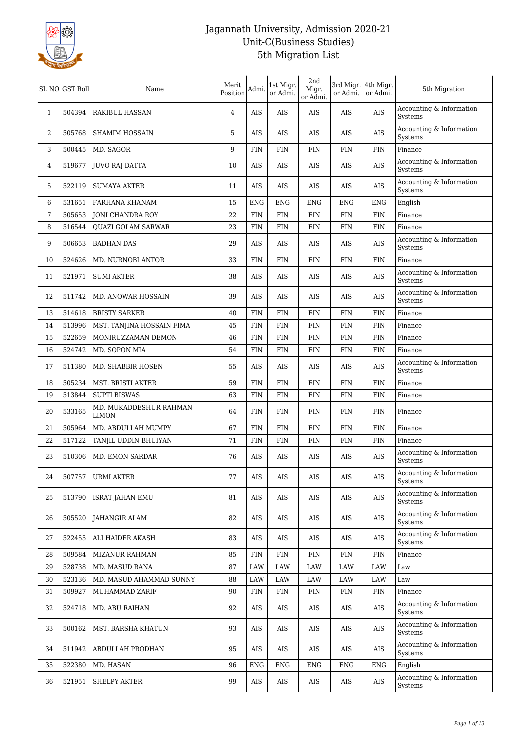

|                | SL NO GST Roll | Name                                   | Merit<br>Position | Admi.      | 1st Migr.<br>or Admi. | 2nd<br>Migr.<br>or Admi. | 3rd Migr. 4th Migr.<br>or Admi. | or Admi.   | 5th Migration                       |
|----------------|----------------|----------------------------------------|-------------------|------------|-----------------------|--------------------------|---------------------------------|------------|-------------------------------------|
| $\mathbf{1}$   | 504394         | <b>RAKIBUL HASSAN</b>                  | 4                 | AIS        | AIS                   | AIS                      | AIS                             | AIS        | Accounting & Information<br>Systems |
| 2              | 505768         | <b>SHAMIM HOSSAIN</b>                  | 5                 | AIS        | AIS                   | AIS                      | AIS                             | AIS        | Accounting & Information<br>Systems |
| 3              | 500445         | MD. SAGOR                              | 9                 | <b>FIN</b> | <b>FIN</b>            | <b>FIN</b>               | FIN                             | <b>FIN</b> | Finance                             |
| 4              | 519677         | JUVO RAJ DATTA                         | 10                | AIS        | AIS                   | AIS                      | AIS                             | AIS        | Accounting & Information<br>Systems |
| 5              | 522119         | <b>SUMAYA AKTER</b>                    | 11                | <b>AIS</b> | AIS                   | AIS                      | AIS                             | AIS        | Accounting & Information<br>Systems |
| 6              | 531651         | FARHANA KHANAM                         | 15                | <b>ENG</b> | <b>ENG</b>            | <b>ENG</b>               | <b>ENG</b>                      | <b>ENG</b> | English                             |
| $\overline{7}$ | 505653         | <b>JONI CHANDRA ROY</b>                | 22                | <b>FIN</b> | <b>FIN</b>            | <b>FIN</b>               | <b>FIN</b>                      | FIN        | Finance                             |
| 8              | 516544         | <b>OUAZI GOLAM SARWAR</b>              | 23                | <b>FIN</b> | FIN                   | FIN                      | FIN                             | <b>FIN</b> | Finance                             |
| 9              | 506653         | <b>BADHAN DAS</b>                      | 29                | AIS        | AIS                   | AIS                      | AIS                             | AIS        | Accounting & Information<br>Systems |
| 10             | 524626         | <b>MD. NURNOBI ANTOR</b>               | 33                | <b>FIN</b> | <b>FIN</b>            | <b>FIN</b>               | FIN                             | <b>FIN</b> | Finance                             |
| 11             | 521971         | <b>SUMI AKTER</b>                      | 38                | AIS        | AIS                   | AIS                      | AIS                             | AIS        | Accounting & Information<br>Systems |
| 12             | 511742         | MD. ANOWAR HOSSAIN                     | 39                | AIS        | AIS                   | AIS                      | AIS                             | AIS        | Accounting & Information<br>Systems |
| 13             | 514618         | <b>BRISTY SARKER</b>                   | 40                | <b>FIN</b> | FIN                   | FIN                      | <b>FIN</b>                      | <b>FIN</b> | Finance                             |
| 14             | 513996         | MST. TANJINA HOSSAIN FIMA              | 45                | <b>FIN</b> | <b>FIN</b>            | <b>FIN</b>               | <b>FIN</b>                      | <b>FIN</b> | Finance                             |
| 15             | 522659         | MONIRUZZAMAN DEMON                     | 46                | <b>FIN</b> | <b>FIN</b>            | <b>FIN</b>               | FIN                             | <b>FIN</b> | Finance                             |
| 16             | 524742         | MD. SOPON MIA                          | 54                | <b>FIN</b> | FIN                   | FIN                      | FIN                             | <b>FIN</b> | Finance                             |
| 17             | 511380         | MD. SHABBIR HOSEN                      | 55                | AIS        | AIS                   | AIS                      | AIS                             | AIS        | Accounting & Information<br>Systems |
| 18             | 505234         | MST. BRISTI AKTER                      | 59                | <b>FIN</b> | <b>FIN</b>            | FIN                      | FIN                             | <b>FIN</b> | Finance                             |
| 19             | 513844         | <b>SUPTI BISWAS</b>                    | 63                | FIN        | FIN                   | FIN                      | FIN                             | <b>FIN</b> | Finance                             |
| 20             | 533165         | MD. MUKADDESHUR RAHMAN<br><b>LIMON</b> | 64                | <b>FIN</b> | <b>FIN</b>            | <b>FIN</b>               | <b>FIN</b>                      | FIN        | Finance                             |
| 21             | 505964         | MD. ABDULLAH MUMPY                     | 67                | <b>FIN</b> | <b>FIN</b>            | <b>FIN</b>               | FIN                             | <b>FIN</b> | Finance                             |
| 22             | 517122         | TANJIL UDDIN BHUIYAN                   | 71                | <b>FIN</b> | FIN                   | FIN                      | FIN                             | <b>FIN</b> | Finance                             |
| 23             | 510306         | MD. EMON SARDAR                        | 76                | AIS        | AIS                   | AIS                      | AIS                             | AIS        | Accounting & Information<br>Systems |
| 24             | 507757         | URMI AKTER                             | 77                | $\rm{AIS}$ | $\rm{AIS}$            | $\rm{AIS}$               | $\rm{AIS}$                      | $\rm AIS$  | Accounting & Information<br>Systems |
| 25             | 513790         | <b>ISRAT JAHAN EMU</b>                 | 81                | AIS        | AIS                   | AIS                      | AIS                             | AIS        | Accounting & Information<br>Systems |
| 26             | 505520         | JAHANGIR ALAM                          | 82                | AIS        | AIS                   | AIS                      | AIS                             | AIS        | Accounting & Information<br>Systems |
| 27             | 522455         | ALI HAIDER AKASH                       | 83                | AIS        | AIS                   | AIS                      | AIS                             | AIS        | Accounting & Information<br>Systems |
| 28             | 509584         | <b>MIZANUR RAHMAN</b>                  | 85                | <b>FIN</b> | <b>FIN</b>            | <b>FIN</b>               | <b>FIN</b>                      | FIN        | Finance                             |
| 29             | 528738         | MD. MASUD RANA                         | 87                | <b>LAW</b> | LAW                   | LAW                      | LAW                             | LAW        | Law                                 |
| 30             | 523136         | MD. MASUD AHAMMAD SUNNY                | 88                | LAW        | LAW                   | LAW                      | LAW                             | LAW        | Law                                 |
| 31             | 509927         | MUHAMMAD ZARIF                         | 90                | <b>FIN</b> | <b>FIN</b>            | FIN                      | FIN                             | <b>FIN</b> | Finance                             |
| 32             | 524718         | MD. ABU RAIHAN                         | 92                | AIS        | AIS                   | AIS                      | AIS                             | AIS        | Accounting & Information<br>Systems |
| 33             | 500162         | MST. BARSHA KHATUN                     | 93                | AIS        | AIS                   | AIS                      | AIS                             | AIS        | Accounting & Information<br>Systems |
| 34             | 511942         | ABDULLAH PRODHAN                       | 95                | AIS        | AIS                   | AIS                      | AIS                             | AIS        | Accounting & Information<br>Systems |
| 35             | 522380         | MD. HASAN                              | 96                | ENG        | ENG                   | ENG                      | ENG                             | <b>ENG</b> | English                             |
| 36             | 521951         | <b>SHELPY AKTER</b>                    | 99                | AIS        | AIS                   | AIS                      | AIS                             | AIS        | Accounting & Information<br>Systems |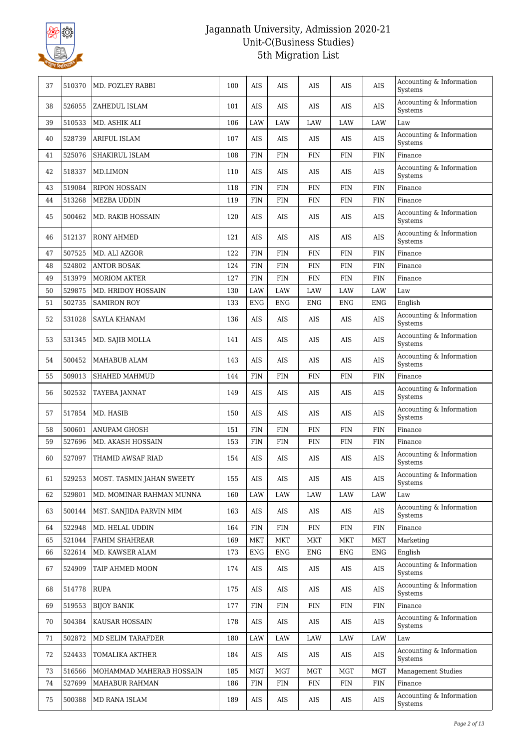

| 37 | 510370 | MD. FOZLEY RABBI          | 100 | AIS        | AIS        | AIS        | AIS        | <b>AIS</b> | Accounting & Information<br><b>Systems</b> |
|----|--------|---------------------------|-----|------------|------------|------------|------------|------------|--------------------------------------------|
| 38 | 526055 | ZAHEDUL ISLAM             | 101 | AIS        | AIS        | AIS        | AIS        | AIS        | Accounting & Information<br>Systems        |
| 39 | 510533 | MD. ASHIK ALI             | 106 | LAW        | <b>LAW</b> | LAW        | $\rm LAW$  | <b>LAW</b> | Law                                        |
| 40 | 528739 | ARIFUL ISLAM              | 107 | AIS        | AIS        | AIS        | AIS        | AIS        | Accounting & Information<br>Systems        |
| 41 | 525076 | SHAKIRUL ISLAM            | 108 | <b>FIN</b> | <b>FIN</b> | <b>FIN</b> | <b>FIN</b> | <b>FIN</b> | Finance                                    |
| 42 | 518337 | MD.LIMON                  | 110 | <b>AIS</b> | AIS        | AIS        | AIS        | AIS        | Accounting & Information<br>Systems        |
| 43 | 519084 | <b>RIPON HOSSAIN</b>      | 118 | <b>FIN</b> | <b>FIN</b> | <b>FIN</b> | <b>FIN</b> | <b>FIN</b> | Finance                                    |
| 44 | 513268 | MEZBA UDDIN               | 119 | FIN        | FIN        | <b>FIN</b> | <b>FIN</b> | FIN        | Finance                                    |
| 45 | 500462 | MD. RAKIB HOSSAIN         | 120 | AIS        | AIS        | AIS        | AIS        | AIS        | Accounting & Information<br>Systems        |
| 46 | 512137 | <b>RONY AHMED</b>         | 121 | AIS        | AIS        | AIS        | AIS        | AIS        | Accounting & Information<br>Systems        |
| 47 | 507525 | MD. ALI AZGOR             | 122 | FIN        | FIN        | <b>FIN</b> | <b>FIN</b> | FIN        | Finance                                    |
| 48 | 524802 | <b>ANTOR BOSAK</b>        | 124 | <b>FIN</b> | <b>FIN</b> | <b>FIN</b> | <b>FIN</b> | <b>FIN</b> | Finance                                    |
| 49 | 513979 | <b>MORIOM AKTER</b>       | 127 | <b>FIN</b> | <b>FIN</b> | <b>FIN</b> | <b>FIN</b> | <b>FIN</b> | Finance                                    |
| 50 | 529875 | MD. HRIDOY HOSSAIN        | 130 | LAW        | LAW        | LAW        | LAW        | LAW        | Law                                        |
| 51 | 502735 | <b>SAMIRON ROY</b>        | 133 | <b>ENG</b> | <b>ENG</b> | <b>ENG</b> | <b>ENG</b> | <b>ENG</b> | English                                    |
| 52 | 531028 | SAYLA KHANAM              | 136 | AIS        | AIS        | AIS        | AIS        | AIS        | Accounting & Information<br>Systems        |
| 53 | 531345 | MD. SAJIB MOLLA           | 141 | AIS        | AIS        | AIS        | AIS        | AIS        | Accounting $\&$ Information<br>Systems     |
| 54 | 500452 | MAHABUB ALAM              | 143 | <b>AIS</b> | AIS        | AIS        | AIS        | AIS        | Accounting & Information<br>Systems        |
| 55 | 509013 | SHAHED MAHMUD             | 144 | FIN        | FIN        | <b>FIN</b> | <b>FIN</b> | FIN        | Finance                                    |
| 56 | 502532 | TAYEBA JANNAT             | 149 | AIS        | AIS        | AIS        | AIS        | AIS        | Accounting $\&$ Information<br>Systems     |
| 57 | 517854 | MD. HASIB                 | 150 | <b>AIS</b> | AIS        | AIS        | AIS        | AIS        | Accounting & Information<br>Systems        |
| 58 | 500601 | ANUPAM GHOSH              | 151 | <b>FIN</b> | <b>FIN</b> | <b>FIN</b> | <b>FIN</b> | <b>FIN</b> | Finance                                    |
| 59 | 527696 | MD. AKASH HOSSAIN         | 153 | FIN        | FIN        | <b>FIN</b> | <b>FIN</b> | <b>FIN</b> | Finance                                    |
| 60 | 527097 | THAMID AWSAF RIAD         | 154 | AIS        | AIS        | AIS        | AIS        | AIS        | Accounting & Information<br>Systems        |
| 61 | 529253 | MOST. TASMIN JAHAN SWEETY | 155 | AIS        | AIS        | AIS        | AIS        | <b>AIS</b> | Accounting & Information<br>Systems        |
| 62 | 529801 | MD. MOMINAR RAHMAN MUNNA  | 160 | LAW        | LAW        | LAW        | LAW        | LAW        | Law                                        |
| 63 | 500144 | MST. SANJIDA PARVIN MIM   | 163 | AIS        | AIS        | AIS        | AIS        | AIS        | Accounting & Information<br>Systems        |
| 64 | 522948 | MD. HELAL UDDIN           | 164 | <b>FIN</b> | FIN        | FIN        | FIN        | <b>FIN</b> | Finance                                    |
| 65 | 521044 | FAHIM SHAHREAR            | 169 | <b>MKT</b> | MKT        | <b>MKT</b> | <b>MKT</b> | MKT        | Marketing                                  |
| 66 | 522614 | MD. KAWSER ALAM           | 173 | ENG        | ENG        | ENG        | ENG        | <b>ENG</b> | English                                    |
| 67 | 524909 | TAIP AHMED MOON           | 174 | AIS        | AIS        | AIS        | AIS        | AIS        | Accounting & Information<br>Systems        |
| 68 | 514778 | <b>RUPA</b>               | 175 | AIS        | AIS        | AIS        | AIS        | AIS        | Accounting & Information<br>Systems        |
| 69 | 519553 | <b>BIJOY BANIK</b>        | 177 | <b>FIN</b> | <b>FIN</b> | <b>FIN</b> | <b>FIN</b> | <b>FIN</b> | Finance                                    |
| 70 | 504384 | KAUSAR HOSSAIN            | 178 | AIS        | AIS        | AIS        | AIS        | AIS        | Accounting & Information<br>Systems        |
| 71 | 502872 | MD SELIM TARAFDER         | 180 | LAW        | LAW        | LAW        | LAW        | LAW        | Law                                        |
| 72 | 524433 | TOMALIKA AKTHER           | 184 | AIS        | AIS        | AIS        | AIS        | AIS        | Accounting & Information<br>Systems        |
| 73 | 516566 | MOHAMMAD MAHERAB HOSSAIN  | 185 | MGT        | <b>MGT</b> | MGT        | <b>MGT</b> | <b>MGT</b> | <b>Management Studies</b>                  |
| 74 | 527699 | MAHABUR RAHMAN            | 186 | <b>FIN</b> | FIN        | FIN        | FIN        | <b>FIN</b> | Finance                                    |
| 75 | 500388 | MD RANA ISLAM             | 189 | AIS        | AIS        | AIS        | AIS        | AIS        | Accounting & Information<br>Systems        |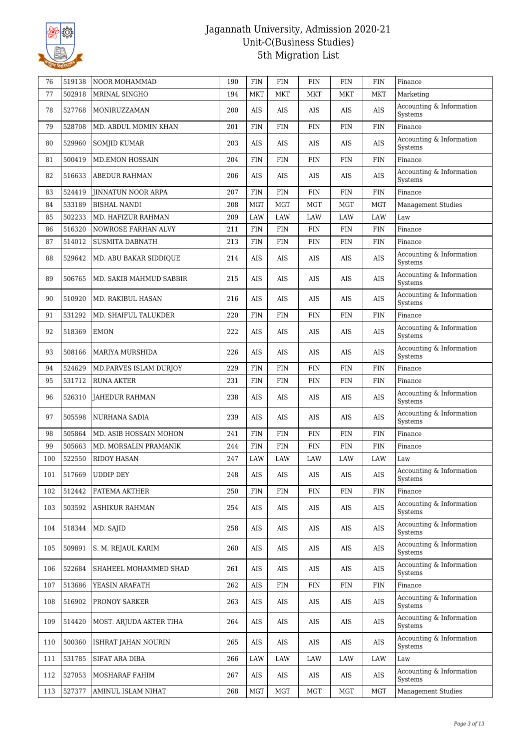

| 76  | 519138 | NOOR MOHAMMAD             | 190 | <b>FIN</b> | <b>FIN</b>  | <b>FIN</b> | <b>FIN</b> | <b>FIN</b>  | Finance                             |
|-----|--------|---------------------------|-----|------------|-------------|------------|------------|-------------|-------------------------------------|
| 77  | 502918 | MRINAL SINGHO             | 194 | MKT        | MKT         | MKT        | MKT        | <b>MKT</b>  | Marketing                           |
| 78  | 527768 | MONIRUZZAMAN              | 200 | AIS        | AIS         | AIS        | AIS        | AIS         | Accounting & Information<br>Systems |
| 79  | 528708 | MD. ABDUL MOMIN KHAN      | 201 | <b>FIN</b> | FIN         | FIN        | <b>FIN</b> | <b>FIN</b>  | Finance                             |
| 80  | 529960 | <b>SOMJID KUMAR</b>       | 203 | <b>AIS</b> | AIS         | AIS        | AIS        | AIS         | Accounting & Information<br>Systems |
| 81  | 500419 | <b>MD.EMON HOSSAIN</b>    | 204 | FIN        | FIN         | FIN        | FIN        | <b>FIN</b>  | Finance                             |
| 82  | 516633 | <b>ABEDUR RAHMAN</b>      | 206 | AIS        | AIS         | AIS        | AIS        | AIS         | Accounting & Information<br>Systems |
| 83  | 524419 | <b>JINNATUN NOOR ARPA</b> | 207 | FIN        | <b>FIN</b>  | <b>FIN</b> | <b>FIN</b> | <b>FIN</b>  | Finance                             |
| 84  | 533189 | <b>BISHAL NANDI</b>       | 208 | <b>MGT</b> | <b>MGT</b>  | <b>MGT</b> | <b>MGT</b> | <b>MGT</b>  | <b>Management Studies</b>           |
| 85  | 502233 | MD. HAFIZUR RAHMAN        | 209 | LAW        | LAW         | LAW        | LAW        | <b>LAW</b>  | Law                                 |
| 86  | 516320 | NOWROSE FARHAN ALVY       | 211 | <b>FIN</b> | <b>FIN</b>  | <b>FIN</b> | <b>FIN</b> | FIN         | Finance                             |
| 87  | 514012 | <b>SUSMITA DABNATH</b>    | 213 | <b>FIN</b> | <b>FIN</b>  | FIN        | FIN        | <b>FIN</b>  | Finance                             |
| 88  | 529642 | MD. ABU BAKAR SIDDIQUE    | 214 | AIS        | AIS         | AIS        | AIS        | AIS         | Accounting & Information<br>Systems |
| 89  | 506765 | MD. SAKIB MAHMUD SABBIR   | 215 | AIS        | AIS         | AIS        | AIS        | AIS         | Accounting & Information<br>Systems |
| 90  | 510920 | MD. RAKIBUL HASAN         | 216 | AIS        | AIS         | AIS        | AIS        | AIS         | Accounting & Information<br>Systems |
| 91  | 531292 | MD. SHAIFUL TALUKDER      | 220 | FIN        | FIN         | FIN        | FIN        | <b>FIN</b>  | Finance                             |
| 92  | 518369 | <b>EMON</b>               | 222 | AIS        | AIS         | AIS        | AIS        | AIS         | Accounting & Information<br>Systems |
| 93  | 508166 | <b>MARIYA MURSHIDA</b>    | 226 | AIS        | AIS         | <b>AIS</b> | AIS        | <b>AIS</b>  | Accounting & Information<br>Systems |
| 94  | 524629 | MD.PARVES ISLAM DURJOY    | 229 | <b>FIN</b> | FIN         | FIN        | <b>FIN</b> | <b>FIN</b>  | Finance                             |
| 95  | 531712 | <b>RUNA AKTER</b>         | 231 | <b>FIN</b> | <b>FIN</b>  | FIN        | FIN        | <b>FIN</b>  | Finance                             |
| 96  | 526310 | JAHEDUR RAHMAN            | 238 | AIS        | AIS         | AIS        | AIS        | AIS         | Accounting & Information<br>Systems |
| 97  | 505598 | NURHANA SADIA             | 239 | AIS        | AIS         | AIS        | AIS        | AIS         | Accounting & Information<br>Systems |
| 98  | 505864 | MD. ASIB HOSSAIN MOHON    | 241 | <b>FIN</b> | FIN         | FIN        | <b>FIN</b> | <b>FIN</b>  | Finance                             |
| 99  | 505663 | MD. MORSALIN PRAMANIK     | 244 | <b>FIN</b> | <b>FIN</b>  | <b>FIN</b> | <b>FIN</b> | <b>FIN</b>  | Finance                             |
| 100 | 522550 | <b>RIDOY HASAN</b>        | 247 | LAW        | LAW         | LAW        | LAW        | LAW         | Law                                 |
| 101 | 517669 | <b>UDDIP DEY</b>          | 248 | $\rm{AIS}$ | $\rm{AIS}$  | $\rm{AIS}$ | AIS        | $\rm AIS$   | Accounting & Information<br>Systems |
| 102 | 512442 | FATEMA AKTHER             | 250 | FIN        | <b>FIN</b>  | FIN        | FIN        | <b>FIN</b>  | Finance                             |
| 103 | 503592 | ASHIKUR RAHMAN            | 254 | AIS        | AIS         | AIS        | AIS        | AIS         | Accounting & Information<br>Systems |
| 104 | 518344 | MD. SAJID                 | 258 | AIS        | AIS         | AIS        | AIS        | AIS         | Accounting & Information<br>Systems |
| 105 | 509891 | S. M. REJAUL KARIM        | 260 | AIS        | AIS         | AIS        | AIS        | AIS         | Accounting & Information<br>Systems |
| 106 | 522684 | SHAHEEL MOHAMMED SHAD     | 261 | AIS        | AIS         | AIS        | AIS        | $\rm{AIS}$  | Accounting & Information<br>Systems |
| 107 | 513686 | YEASIN ARAFATH            | 262 | $\rm{AIS}$ | ${\rm FIN}$ | <b>FIN</b> | <b>FIN</b> | ${\rm FIN}$ | Finance                             |
| 108 | 516902 | PRONOY SARKER             | 263 | AIS        | AIS         | AIS        | AIS        | AIS         | Accounting & Information<br>Systems |
| 109 | 514420 | MOST. ARJUDA AKTER TIHA   | 264 | AIS        | AIS         | AIS        | AIS        | AIS         | Accounting & Information<br>Systems |
| 110 | 500360 | ISHRAT JAHAN NOURIN       | 265 | AIS        | AIS         | AIS        | AIS        | AIS         | Accounting & Information<br>Systems |
| 111 | 531785 | SIFAT ARA DIBA            | 266 | LAW        | LAW         | LAW        | LAW        | LAW         | Law                                 |
| 112 | 527053 | MOSHARAF FAHIM            | 267 | AIS        | AIS         | AIS        | AIS        | AIS         | Accounting & Information<br>Systems |
| 113 | 527377 | AMINUL ISLAM NIHAT        | 268 | <b>MGT</b> | <b>MGT</b>  | MGT        | MGT        | MGT         | <b>Management Studies</b>           |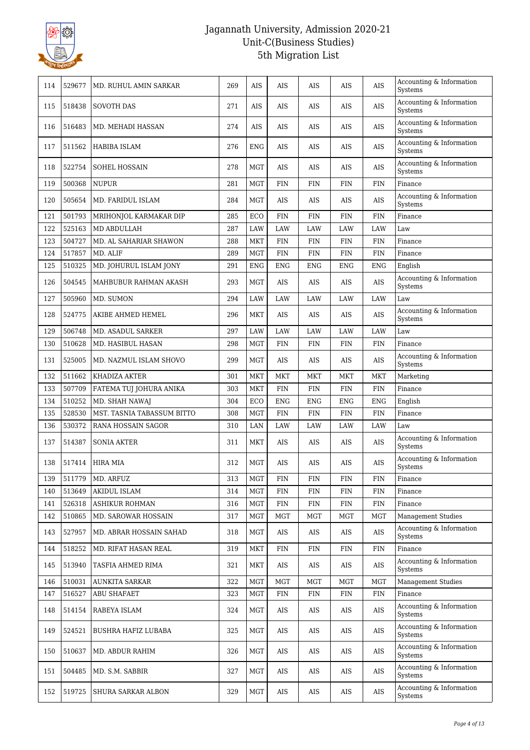

| 114 | 529677 | MD. RUHUL AMIN SARKAR      | 269 | <b>AIS</b> | AIS        | AIS         | AIS         | AIS        | Accounting & Information<br>Systems |
|-----|--------|----------------------------|-----|------------|------------|-------------|-------------|------------|-------------------------------------|
| 115 | 518438 | <b>SOVOTH DAS</b>          | 271 | AIS        | AIS        | AIS         | AIS         | AIS        | Accounting & Information<br>Systems |
| 116 | 516483 | MD. MEHADI HASSAN          | 274 | AIS        | AIS        | AIS         | AIS         | AIS        | Accounting & Information<br>Systems |
| 117 | 511562 | HABIBA ISLAM               | 276 | <b>ENG</b> | AIS        | AIS         | AIS         | AIS        | Accounting & Information<br>Systems |
| 118 | 522754 | SOHEL HOSSAIN              | 278 | <b>MGT</b> | AIS        | AIS         | AIS         | $\rm{AIS}$ | Accounting & Information<br>Systems |
| 119 | 500368 | <b>NUPUR</b>               | 281 | <b>MGT</b> | FIN        | <b>FIN</b>  | FIN         | FIN        | Finance                             |
| 120 | 505654 | MD. FARIDUL ISLAM          | 284 | MGT        | AIS        | AIS         | AIS         | AIS        | Accounting & Information<br>Systems |
| 121 | 501793 | MRIHONJOL KARMAKAR DIP     | 285 | ECO        | <b>FIN</b> | <b>FIN</b>  | FIN         | FIN        | Finance                             |
| 122 | 525163 | MD ABDULLAH                | 287 | LAW        | LAW        | LAW         | LAW         | LAW        | Law                                 |
| 123 | 504727 | MD. AL SAHARIAR SHAWON     | 288 | MKT        | <b>FIN</b> | <b>FIN</b>  | <b>FIN</b>  | <b>FIN</b> | Finance                             |
| 124 | 517857 | MD. ALIF                   | 289 | <b>MGT</b> | <b>FIN</b> | <b>FIN</b>  | ${\rm FIN}$ | <b>FIN</b> | Finance                             |
| 125 | 510325 | MD. JOHURUL ISLAM JONY     | 291 | <b>ENG</b> | <b>ENG</b> | <b>ENG</b>  | <b>ENG</b>  | <b>ENG</b> | English                             |
| 126 | 504545 | MAHBUBUR RAHMAN AKASH      | 293 | MGT        | AIS        | AIS         | AIS         | AIS        | Accounting & Information<br>Systems |
| 127 | 505960 | MD. SUMON                  | 294 | LAW        | LAW        | LAW         | LAW         | LAW        | Law                                 |
| 128 | 524775 | AKIBE AHMED HEMEL          | 296 | MKT        | AIS        | AIS         | AIS         | AIS        | Accounting & Information<br>Systems |
| 129 | 506748 | MD. ASADUL SARKER          | 297 | LAW        | <b>LAW</b> | <b>LAW</b>  | LAW         | <b>LAW</b> | Law                                 |
| 130 | 510628 | MD. HASIBUL HASAN          | 298 | <b>MGT</b> | <b>FIN</b> | <b>FIN</b>  | FIN         | FIN        | Finance                             |
| 131 | 525005 | MD. NAZMUL ISLAM SHOVO     | 299 | MGT        | AIS        | AIS         | AIS         | AIS        | Accounting & Information<br>Systems |
| 132 | 511662 | KHADIZA AKTER              | 301 | <b>MKT</b> | MKT        | MKT         | MKT         | <b>MKT</b> | Marketing                           |
| 133 | 507709 | FATEMA TUJ JOHURA ANIKA    | 303 | <b>MKT</b> | <b>FIN</b> | ${\rm FIN}$ | ${\rm FIN}$ | <b>FIN</b> | Finance                             |
| 134 | 510252 | MD. SHAH NAWAJ             | 304 | ECO        | <b>ENG</b> | <b>ENG</b>  | <b>ENG</b>  | <b>ENG</b> | English                             |
| 135 | 528530 | MST. TASNIA TABASSUM BITTO | 308 | <b>MGT</b> | <b>FIN</b> | <b>FIN</b>  | <b>FIN</b>  | <b>FIN</b> | Finance                             |
| 136 | 530372 | RANA HOSSAIN SAGOR         | 310 | LAN        | LAW        | LAW         | LAW         | LAW        | Law                                 |
| 137 | 514387 | <b>SONIA AKTER</b>         | 311 | <b>MKT</b> | AIS        | AIS         | AIS         | AIS        | Accounting & Information<br>Systems |
| 138 | 517414 | <b>HIRA MIA</b>            | 312 | MGT        | AIS        | AIS         | AIS         | AIS        | Accounting & Information<br>Systems |
| 139 | 511779 | MD. ARFUZ                  | 313 | <b>MGT</b> | FIN        | <b>FIN</b>  | <b>FIN</b>  | <b>FIN</b> | Finance                             |
| 140 | 513649 | <b>AKIDUL ISLAM</b>        | 314 | <b>MGT</b> | <b>FIN</b> | <b>FIN</b>  | <b>FIN</b>  | <b>FIN</b> | Finance                             |
| 141 | 526318 | ASHIKUR ROHMAN             | 316 | <b>MGT</b> | <b>FIN</b> | <b>FIN</b>  | <b>FIN</b>  | <b>FIN</b> | Finance                             |
| 142 | 510865 | MD. SAROWAR HOSSAIN        | 317 | MGT        | <b>MGT</b> | MGT         | <b>MGT</b>  | <b>MGT</b> | <b>Management Studies</b>           |
| 143 | 527957 | MD. ABRAR HOSSAIN SAHAD    | 318 | MGT        | AIS        | AIS         | AIS         | AIS        | Accounting & Information<br>Systems |
| 144 | 518252 | MD. RIFAT HASAN REAL       | 319 | MKT        | <b>FIN</b> | <b>FIN</b>  | <b>FIN</b>  | FIN        | Finance                             |
| 145 | 513940 | TASFIA AHMED RIMA          | 321 | MKT        | AIS        | AIS         | AIS         | AIS        | Accounting & Information<br>Systems |
| 146 | 510031 | <b>AUNKITA SARKAR</b>      | 322 | MGT        | <b>MGT</b> | MGT         | MGT         | <b>MGT</b> | <b>Management Studies</b>           |
| 147 | 516527 | ABU SHAFAET                | 323 | MGT        | <b>FIN</b> | <b>FIN</b>  | <b>FIN</b>  | FIN        | Finance                             |
| 148 | 514154 | RABEYA ISLAM               | 324 | <b>MGT</b> | AIS        | AIS         | AIS         | AIS        | Accounting & Information<br>Systems |
| 149 | 524521 | BUSHRA HAFIZ LUBABA        | 325 | MGT        | AIS        | AIS         | AIS         | AIS        | Accounting & Information<br>Systems |
| 150 | 510637 | MD. ABDUR RAHIM            | 326 | MGT        | AIS        | AIS         | AIS         | AIS        | Accounting & Information<br>Systems |
| 151 | 504485 | MD. S.M. SABBIR            | 327 | MGT        | AIS        | AIS         | AIS         | AIS        | Accounting & Information<br>Systems |
| 152 | 519725 | SHURA SARKAR ALBON         | 329 | MGT        | AIS        | AIS         | AIS         | AIS        | Accounting & Information<br>Systems |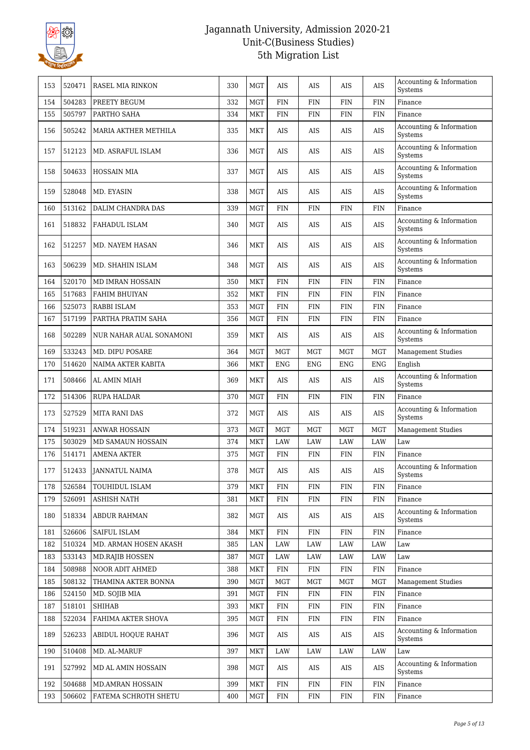

| 153 | 520471 | RASEL MIA RINKON        | 330 | <b>MGT</b> | AIS         | AIS        | AIS        | AIS        | Accounting & Information<br>Systems |
|-----|--------|-------------------------|-----|------------|-------------|------------|------------|------------|-------------------------------------|
| 154 | 504283 | PREETY BEGUM            | 332 | <b>MGT</b> | <b>FIN</b>  | <b>FIN</b> | <b>FIN</b> | <b>FIN</b> | Finance                             |
| 155 | 505797 | PARTHO SAHA             | 334 | <b>MKT</b> | <b>FIN</b>  | FIN        | FIN        | <b>FIN</b> | Finance                             |
| 156 | 505242 | MARIA AKTHER METHILA    | 335 | <b>MKT</b> | AIS         | AIS        | AIS        | <b>AIS</b> | Accounting & Information<br>Systems |
| 157 | 512123 | MD. ASRAFUL ISLAM       | 336 | <b>MGT</b> | AIS         | AIS        | AIS        | AIS        | Accounting & Information<br>Systems |
| 158 | 504633 | <b>HOSSAIN MIA</b>      | 337 | <b>MGT</b> | AIS         | AIS        | AIS        | AIS        | Accounting & Information<br>Systems |
| 159 | 528048 | MD. EYASIN              | 338 | <b>MGT</b> | AIS         | AIS        | AIS        | <b>AIS</b> | Accounting & Information<br>Systems |
| 160 | 513162 | DALIM CHANDRA DAS       | 339 | <b>MGT</b> | <b>FIN</b>  | FIN        | <b>FIN</b> | <b>FIN</b> | Finance                             |
| 161 | 518832 | FAHADUL ISLAM           | 340 | <b>MGT</b> | AIS         | AIS        | AIS        | AIS        | Accounting & Information<br>Systems |
| 162 | 512257 | MD. NAYEM HASAN         | 346 | <b>MKT</b> | AIS         | AIS        | AIS        | AIS        | Accounting & Information<br>Systems |
| 163 | 506239 | MD. SHAHIN ISLAM        | 348 | <b>MGT</b> | AIS         | AIS        | AIS        | AIS        | Accounting & Information<br>Systems |
| 164 | 520170 | <b>MD IMRAN HOSSAIN</b> | 350 | <b>MKT</b> | <b>FIN</b>  | FIN        | <b>FIN</b> | <b>FIN</b> | Finance                             |
| 165 | 517683 | FAHIM BHUIYAN           | 352 | <b>MKT</b> | <b>FIN</b>  | FIN        | <b>FIN</b> | FIN        | Finance                             |
| 166 | 525073 | RABBI ISLAM             | 353 | <b>MGT</b> | <b>FIN</b>  | FIN        | <b>FIN</b> | <b>FIN</b> | Finance                             |
| 167 | 517199 | PARTHA PRATIM SAHA      | 356 | <b>MGT</b> | <b>FIN</b>  | FIN        | <b>FIN</b> | <b>FIN</b> | Finance                             |
| 168 | 502289 | NUR NAHAR AUAL SONAMONI | 359 | <b>MKT</b> | AIS         | AIS        | AIS        | AIS        | Accounting & Information<br>Systems |
| 169 | 533243 | MD. DIPU POSARE         | 364 | <b>MGT</b> | <b>MGT</b>  | <b>MGT</b> | <b>MGT</b> | <b>MGT</b> | <b>Management Studies</b>           |
| 170 | 514620 | NAIMA AKTER KABITA      | 366 | <b>MKT</b> | <b>ENG</b>  | <b>ENG</b> | <b>ENG</b> | <b>ENG</b> | English                             |
| 171 | 508466 | AL AMIN MIAH            | 369 | <b>MKT</b> | AIS         | AIS        | AIS        | AIS        | Accounting & Information<br>Systems |
| 172 | 514306 | RUPA HALDAR             | 370 | <b>MGT</b> | <b>FIN</b>  | FIN        | FIN        | <b>FIN</b> | Finance                             |
| 173 | 527529 | <b>MITA RANI DAS</b>    | 372 | <b>MGT</b> | AIS         | AIS        | AIS        | AIS        | Accounting & Information<br>Systems |
| 174 | 519231 | <b>ANWAR HOSSAIN</b>    | 373 | <b>MGT</b> | <b>MGT</b>  | <b>MGT</b> | <b>MGT</b> | <b>MGT</b> | <b>Management Studies</b>           |
| 175 | 503029 | MD SAMAUN HOSSAIN       | 374 | <b>MKT</b> | <b>LAW</b>  | <b>LAW</b> | <b>LAW</b> | <b>LAW</b> | Law                                 |
| 176 | 514171 | <b>AMENA AKTER</b>      | 375 | <b>MGT</b> | <b>FIN</b>  | FIN        | FIN        | <b>FIN</b> | Finance                             |
| 177 | 512433 | <b>JANNATUL NAIMA</b>   | 378 | <b>MGT</b> | <b>AIS</b>  | AIS        | AIS        | AIS        | Accounting & Information<br>Systems |
| 178 | 526584 | TOUHIDUL ISLAM          | 379 | <b>MKT</b> | <b>FIN</b>  | FIN        | <b>FIN</b> | <b>FIN</b> | Finance                             |
| 179 | 526091 | <b>ASHISH NATH</b>      | 381 | MKT        | <b>FIN</b>  | <b>FIN</b> | <b>FIN</b> | FIN        | Finance                             |
| 180 | 518334 | ABDUR RAHMAN            | 382 | <b>MGT</b> | AIS         | AIS        | AIS        | AIS        | Accounting & Information<br>Systems |
| 181 | 526606 | SAIFUL ISLAM            | 384 | <b>MKT</b> | <b>FIN</b>  | <b>FIN</b> | <b>FIN</b> | <b>FIN</b> | Finance                             |
| 182 | 510324 | MD. ARMAN HOSEN AKASH   | 385 | LAN        | <b>LAW</b>  | LAW        | LAW        | LAW        | Law                                 |
| 183 | 533143 | <b>MD.RAJIB HOSSEN</b>  | 387 | <b>MGT</b> | LAW         | LAW        | LAW        | LAW        | Law                                 |
| 184 | 508988 | NOOR ADIT AHMED         | 388 | <b>MKT</b> | <b>FIN</b>  | FIN        | <b>FIN</b> | FIN        | Finance                             |
| 185 | 508132 | THAMINA AKTER BONNA     | 390 | <b>MGT</b> | MGT         | MGT        | MGT        | MGT        | <b>Management Studies</b>           |
| 186 | 524150 | MD. SOJIB MIA           | 391 | <b>MGT</b> | ${\rm FIN}$ | FIN        | <b>FIN</b> | FIN        | Finance                             |
| 187 | 518101 | <b>SHIHAB</b>           | 393 | MKT        | <b>FIN</b>  | <b>FIN</b> | <b>FIN</b> | FIN        | Finance                             |
| 188 | 522034 | FAHIMA AKTER SHOVA      | 395 | <b>MGT</b> | <b>FIN</b>  | FIN        | <b>FIN</b> | FIN        | Finance                             |
| 189 | 526233 | ABIDUL HOQUE RAHAT      | 396 | MGT        | AIS         | AIS        | AIS        | AIS        | Accounting & Information<br>Systems |
| 190 | 510408 | MD. AL-MARUF            | 397 | MKT        | LAW         | LAW        | LAW        | LAW        | Law                                 |
| 191 | 527992 | MD AL AMIN HOSSAIN      | 398 | <b>MGT</b> | AIS         | AIS        | AIS        | AIS        | Accounting & Information<br>Systems |
| 192 | 504688 | MD.AMRAN HOSSAIN        | 399 | <b>MKT</b> | <b>FIN</b>  | FIN        | <b>FIN</b> | <b>FIN</b> | Finance                             |
| 193 | 506602 | FATEMA SCHROTH SHETU    | 400 | <b>MGT</b> | FIN         | FIN        | <b>FIN</b> | FIN        | Finance                             |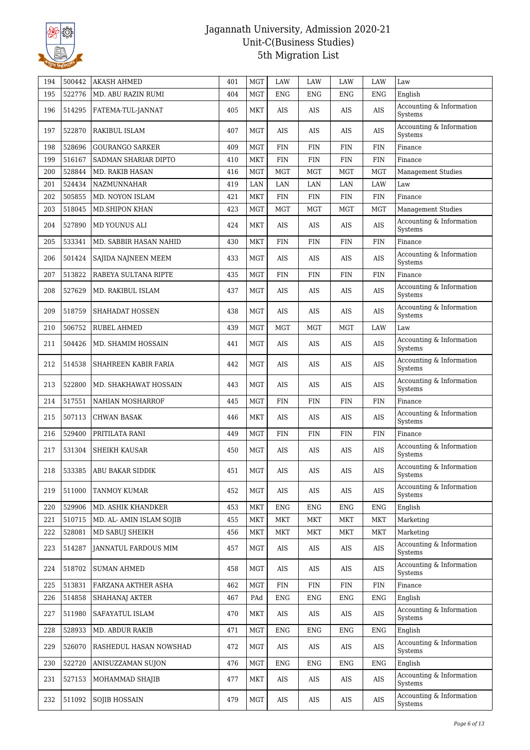

| 194 | 500442 | <b>AKASH AHMED</b>        | 401 | <b>MGT</b> | <b>LAW</b> | LAW        | LAW        | <b>LAW</b>   | Law                                 |
|-----|--------|---------------------------|-----|------------|------------|------------|------------|--------------|-------------------------------------|
| 195 | 522776 | MD. ABU RAZIN RUMI        | 404 | <b>MGT</b> | <b>ENG</b> | ENG        | <b>ENG</b> | <b>ENG</b>   | English                             |
| 196 | 514295 | FATEMA-TUL-JANNAT         | 405 | MKT        | AIS        | AIS        | AIS        | AIS          | Accounting & Information<br>Systems |
| 197 | 522870 | <b>RAKIBUL ISLAM</b>      | 407 | <b>MGT</b> | AIS        | AIS        | AIS        | AIS          | Accounting & Information<br>Systems |
| 198 | 528696 | <b>GOURANGO SARKER</b>    | 409 | <b>MGT</b> | <b>FIN</b> | <b>FIN</b> | <b>FIN</b> | <b>FIN</b>   | Finance                             |
| 199 | 516167 | SADMAN SHARIAR DIPTO      | 410 | MKT        | FIN        | FIN        | FIN        | <b>FIN</b>   | Finance                             |
| 200 | 528844 | <b>MD. RAKIB HASAN</b>    | 416 | <b>MGT</b> | <b>MGT</b> | MGT        | <b>MGT</b> | <b>MGT</b>   | Management Studies                  |
| 201 | 524434 | NAZMUNNAHAR               | 419 | LAN        | LAN        | LAN        | LAN        | <b>LAW</b>   | Law                                 |
| 202 | 505855 | MD. NOYON ISLAM           | 421 | MKT        | <b>FIN</b> | <b>FIN</b> | <b>FIN</b> | $\text{FIN}$ | Finance                             |
| 203 | 518045 | <b>MD.SHIPON KHAN</b>     | 423 | <b>MGT</b> | <b>MGT</b> | MGT        | <b>MGT</b> | <b>MGT</b>   | <b>Management Studies</b>           |
| 204 | 527890 | MD YOUNUS ALI             | 424 | MKT        | AIS        | AIS        | AIS        | AIS          | Accounting & Information<br>Systems |
| 205 | 533341 | MD. SABBIR HASAN NAHID    | 430 | <b>MKT</b> | FIN        | FIN        | FIN        | <b>FIN</b>   | Finance                             |
| 206 | 501424 | SAJIDA NAJNEEN MEEM       | 433 | <b>MGT</b> | AIS        | AIS        | AIS        | AIS          | Accounting & Information<br>Systems |
| 207 | 513822 | RABEYA SULTANA RIPTE      | 435 | <b>MGT</b> | <b>FIN</b> | FIN        | FIN        | <b>FIN</b>   | Finance                             |
| 208 | 527629 | MD. RAKIBUL ISLAM         | 437 | <b>MGT</b> | AIS        | AIS        | AIS        | AIS          | Accounting & Information<br>Systems |
| 209 | 518759 | SHAHADAT HOSSEN           | 438 | <b>MGT</b> | AIS        | AIS        | AIS        | <b>AIS</b>   | Accounting & Information<br>Systems |
| 210 | 506752 | RUBEL AHMED               | 439 | <b>MGT</b> | <b>MGT</b> | MGT        | <b>MGT</b> | LAW          | Law                                 |
| 211 | 504426 | MD. SHAMIM HOSSAIN        | 441 | <b>MGT</b> | AIS        | AIS        | AIS        | AIS          | Accounting & Information<br>Systems |
| 212 | 514538 | SHAHREEN KABIR FARIA      | 442 | <b>MGT</b> | AIS        | AIS        | AIS        | <b>AIS</b>   | Accounting & Information<br>Systems |
| 213 | 522800 | MD. SHAKHAWAT HOSSAIN     | 443 | <b>MGT</b> | <b>AIS</b> | AIS        | AIS        | AIS          | Accounting & Information<br>Systems |
| 214 | 517551 | NAHIAN MOSHARROF          | 445 | <b>MGT</b> | FIN        | FIN        | FIN        | <b>FIN</b>   | Finance                             |
| 215 | 507113 | <b>CHWAN BASAK</b>        | 446 | MKT        | AIS        | AIS        | AIS        | AIS          | Accounting & Information<br>Systems |
| 216 | 529400 | PRITILATA RANI            | 449 | <b>MGT</b> | FIN        | FIN        | FIN        | <b>FIN</b>   | Finance                             |
| 217 | 531304 | <b>SHEIKH KAUSAR</b>      | 450 | <b>MGT</b> | AIS        | AIS        | AIS        | AIS          | Accounting & Information<br>Systems |
| 218 |        | 533385   ABU BAKAR SIDDIK | 451 | MGT        | AIS        | <b>AIS</b> | AIS        | AIS          | Accounting & Information<br>Systems |
| 219 | 511000 | TANMOY KUMAR              | 452 | MGT        | AIS        | AIS        | AIS        | AIS          | Accounting & Information<br>Systems |
| 220 | 529906 | MD. ASHIK KHANDKER        | 453 | MKT        | <b>ENG</b> | <b>ENG</b> | <b>ENG</b> | <b>ENG</b>   | English                             |
| 221 | 510715 | MD. AL- AMIN ISLAM SOJIB  | 455 | MKT        | <b>MKT</b> | MKT        | <b>MKT</b> | <b>MKT</b>   | Marketing                           |
| 222 | 528081 | MD SABUJ SHEIKH           | 456 | MKT        | MKT        | MKT        | MKT        | <b>MKT</b>   | Marketing                           |
| 223 | 514287 | JANNATUL FARDOUS MIM      | 457 | MGT        | AIS        | AIS        | AIS        | AIS          | Accounting & Information<br>Systems |
| 224 | 518702 | <b>SUMAN AHMED</b>        | 458 | <b>MGT</b> | AIS        | AIS        | AIS        | $\rm AIS$    | Accounting & Information<br>Systems |
| 225 | 513831 | FARZANA AKTHER ASHA       | 462 | <b>MGT</b> | <b>FIN</b> | <b>FIN</b> | <b>FIN</b> | $\text{FIN}$ | Finance                             |
| 226 | 514858 | SHAHANAJ AKTER            | 467 | PAd        | <b>ENG</b> | <b>ENG</b> | <b>ENG</b> | <b>ENG</b>   | English                             |
| 227 | 511980 | SAFAYATUL ISLAM           | 470 | MKT        | AIS        | AIS        | AIS        | AIS          | Accounting & Information<br>Systems |
| 228 | 528933 | <b>MD. ABDUR RAKIB</b>    | 471 | MGT        | <b>ENG</b> | ENG        | <b>ENG</b> | <b>ENG</b>   | English                             |
| 229 | 526070 | RASHEDUL HASAN NOWSHAD    | 472 | <b>MGT</b> | AIS        | AIS        | AIS        | AIS          | Accounting & Information<br>Systems |
| 230 | 522720 | ANISUZZAMAN SUJON         | 476 | <b>MGT</b> | ENG        | ENG        | ENG        | <b>ENG</b>   | English                             |
| 231 | 527153 | MOHAMMAD SHAJIB           | 477 | MKT        | AIS        | AIS        | AIS        | AIS          | Accounting & Information<br>Systems |
| 232 | 511092 | <b>SOJIB HOSSAIN</b>      | 479 | <b>MGT</b> | AIS        | AIS        | AIS        | AIS          | Accounting & Information<br>Systems |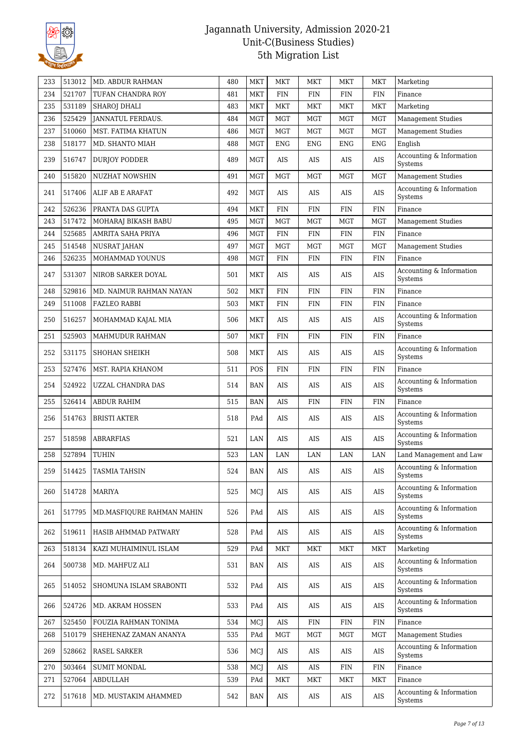

| 233 | 513012 | MD. ABDUR RAHMAN          | 480 | MKT        | MKT        | <b>MKT</b> | MKT         | <b>MKT</b> | Marketing                           |
|-----|--------|---------------------------|-----|------------|------------|------------|-------------|------------|-------------------------------------|
| 234 | 521707 | TUFAN CHANDRA ROY         | 481 | <b>MKT</b> | <b>FIN</b> | <b>FIN</b> | <b>FIN</b>  | <b>FIN</b> | Finance                             |
| 235 | 531189 | <b>SHAROJ DHALI</b>       | 483 | MKT        | MKT        | <b>MKT</b> | <b>MKT</b>  | <b>MKT</b> | Marketing                           |
| 236 | 525429 | <b>JANNATUL FERDAUS.</b>  | 484 | <b>MGT</b> | <b>MGT</b> | <b>MGT</b> | <b>MGT</b>  | <b>MGT</b> | <b>Management Studies</b>           |
| 237 | 510060 | MST. FATIMA KHATUN        | 486 | <b>MGT</b> | <b>MGT</b> | <b>MGT</b> | <b>MGT</b>  | <b>MGT</b> | <b>Management Studies</b>           |
| 238 | 518177 | MD. SHANTO MIAH           | 488 | <b>MGT</b> | <b>ENG</b> | <b>ENG</b> | <b>ENG</b>  | <b>ENG</b> | English                             |
| 239 | 516747 | <b>DURJOY PODDER</b>      | 489 | <b>MGT</b> | AIS        | <b>AIS</b> | AIS         | AIS        | Accounting & Information<br>Systems |
| 240 | 515820 | <b>NUZHAT NOWSHIN</b>     | 491 | <b>MGT</b> | <b>MGT</b> | MGT        | MGT         | <b>MGT</b> | <b>Management Studies</b>           |
| 241 | 517406 | ALIF AB E ARAFAT          | 492 | <b>MGT</b> | AIS        | AIS        | AIS         | AIS        | Accounting & Information<br>Systems |
| 242 | 526236 | PRANTA DAS GUPTA          | 494 | <b>MKT</b> | <b>FIN</b> | <b>FIN</b> | <b>FIN</b>  | <b>FIN</b> | Finance                             |
| 243 | 517472 | MOHARAJ BIKASH BABU       | 495 | <b>MGT</b> | <b>MGT</b> | <b>MGT</b> | <b>MGT</b>  | <b>MGT</b> | <b>Management Studies</b>           |
| 244 | 525685 | AMRITA SAHA PRIYA         | 496 | <b>MGT</b> | <b>FIN</b> | <b>FIN</b> | <b>FIN</b>  | <b>FIN</b> | Finance                             |
| 245 | 514548 | <b>NUSRAT JAHAN</b>       | 497 | <b>MGT</b> | <b>MGT</b> | MGT        | <b>MGT</b>  | <b>MGT</b> | <b>Management Studies</b>           |
| 246 | 526235 | MOHAMMAD YOUNUS           | 498 | <b>MGT</b> | <b>FIN</b> | <b>FIN</b> | <b>FIN</b>  | <b>FIN</b> | Finance                             |
| 247 | 531307 | NIROB SARKER DOYAL        | 501 | <b>MKT</b> | AIS        | AIS        | AIS         | <b>AIS</b> | Accounting & Information<br>Systems |
| 248 | 529816 | MD. NAIMUR RAHMAN NAYAN   | 502 | <b>MKT</b> | <b>FIN</b> | <b>FIN</b> | <b>FIN</b>  | <b>FIN</b> | Finance                             |
| 249 | 511008 | <b>FAZLEO RABBI</b>       | 503 | <b>MKT</b> | <b>FIN</b> | <b>FIN</b> | <b>FIN</b>  | FIN        | Finance                             |
| 250 | 516257 | MOHAMMAD KAJAL MIA        | 506 | MKT        | AIS        | AIS        | AIS         | AIS        | Accounting & Information<br>Systems |
| 251 | 525903 | MAHMUDUR RAHMAN           | 507 | MKT        | <b>FIN</b> | FIN        | FIN         | FIN        | Finance                             |
| 252 | 531175 | SHOHAN SHEIKH             | 508 | MKT        | AIS        | AIS        | AIS         | AIS        | Accounting & Information<br>Systems |
| 253 | 527476 | MST. RAPIA KHANOM         | 511 | POS        | <b>FIN</b> | <b>FIN</b> | <b>FIN</b>  | <b>FIN</b> | Finance                             |
| 254 | 524922 | UZZAL CHANDRA DAS         | 514 | <b>BAN</b> | AIS        | AIS        | AIS         | <b>AIS</b> | Accounting & Information<br>Systems |
| 255 | 526414 | <b>ABDUR RAHIM</b>        | 515 | <b>BAN</b> | AIS        | <b>FIN</b> | <b>FIN</b>  | FIN        | Finance                             |
| 256 | 514763 | <b>BRISTI AKTER</b>       | 518 | PAd        | AIS        | AIS        | AIS         | AIS        | Accounting & Information<br>Systems |
| 257 | 518598 | <b>ABRARFIAS</b>          | 521 | LAN        | AIS        | AIS        | AIS         | AIS        | Accounting & Information<br>Systems |
| 258 | 527894 | TUHIN                     | 523 | LAN        | LAN        | LAN        | LAN         | LAN        | Land Management and Law             |
| 259 | 514425 | <b>TASMIA TAHSIN</b>      | 524 | <b>BAN</b> | AIS        | <b>AIS</b> | AIS         | <b>AIS</b> | Accounting & Information<br>Systems |
| 260 | 514728 | MARIYA                    | 525 | MCJ        | AIS        | AIS        | AIS         | AIS        | Accounting & Information<br>Systems |
| 261 | 517795 | MD.MASFIQURE RAHMAN MAHIN | 526 | PAd        | AIS        | AIS        | AIS         | AIS        | Accounting & Information<br>Systems |
| 262 | 519611 | HASIB AHMMAD PATWARY      | 528 | PAd        | AIS        | AIS        | AIS         | AIS        | Accounting & Information<br>Systems |
| 263 | 518134 | KAZI MUHAIMINUL ISLAM     | 529 | PAd        | <b>MKT</b> | <b>MKT</b> | MKT         | MKT        | Marketing                           |
| 264 | 500738 | MD. MAHFUZ ALI            | 531 | BAN        | AIS        | AIS        | AIS         | AIS        | Accounting & Information<br>Systems |
| 265 | 514052 | SHOMUNA ISLAM SRABONTI    | 532 | PAd        | AIS        | AIS        | AIS         | AIS        | Accounting & Information<br>Systems |
| 266 | 524726 | MD. AKRAM HOSSEN          | 533 | PAd        | AIS        | AIS        | AIS         | AIS        | Accounting & Information<br>Systems |
| 267 | 525450 | FOUZIA RAHMAN TONIMA      | 534 | MCJ        | $\rm AIS$  | <b>FIN</b> | ${\rm FIN}$ | <b>FIN</b> | Finance                             |
| 268 | 510179 | SHEHENAZ ZAMAN ANANYA     | 535 | PAd        | MGT        | MGT        | MGT         | <b>MGT</b> | <b>Management Studies</b>           |
| 269 | 528662 | RASEL SARKER              | 536 | MCJ        | AIS        | AIS        | AIS         | AIS        | Accounting & Information<br>Systems |
| 270 | 503464 | <b>SUMIT MONDAL</b>       | 538 | MCJ        | AIS        | AIS        | <b>FIN</b>  | <b>FIN</b> | Finance                             |
| 271 | 527064 | ABDULLAH                  | 539 | PAd        | <b>MKT</b> | <b>MKT</b> | <b>MKT</b>  | <b>MKT</b> | Finance                             |
| 272 | 517618 | MD. MUSTAKIM AHAMMED      | 542 | BAN        | AIS        | AIS        | AIS         | AIS        | Accounting & Information<br>Systems |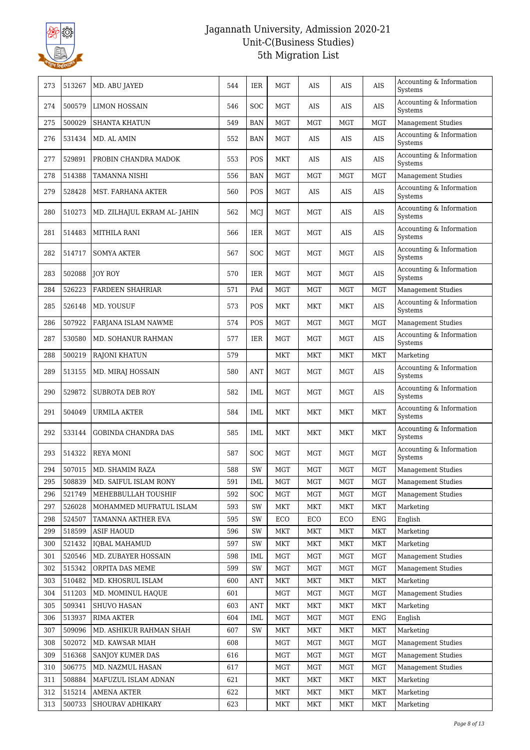

| 273 | 513267 | MD. ABU JAYED                | 544 | IER        | <b>MGT</b> | AIS        | AIS        | AIS        | Accounting & Information<br>Systems |
|-----|--------|------------------------------|-----|------------|------------|------------|------------|------------|-------------------------------------|
| 274 | 500579 | <b>LIMON HOSSAIN</b>         | 546 | <b>SOC</b> | <b>MGT</b> | AIS        | AIS        | AIS        | Accounting & Information<br>Systems |
| 275 | 500029 | <b>SHANTA KHATUN</b>         | 549 | <b>BAN</b> | <b>MGT</b> | <b>MGT</b> | <b>MGT</b> | <b>MGT</b> | <b>Management Studies</b>           |
| 276 | 531434 | MD. AL AMIN                  | 552 | <b>BAN</b> | <b>MGT</b> | AIS        | AIS        | AIS        | Accounting & Information<br>Systems |
| 277 | 529891 | PROBIN CHANDRA MADOK         | 553 | POS        | MKT        | AIS        | AIS        | AIS        | Accounting & Information<br>Systems |
| 278 | 514388 | TAMANNA NISHI                | 556 | <b>BAN</b> | <b>MGT</b> | <b>MGT</b> | <b>MGT</b> | <b>MGT</b> | <b>Management Studies</b>           |
| 279 | 528428 | MST. FARHANA AKTER           | 560 | POS        | MGT        | AIS        | $\rm{AIS}$ | $\rm{AIS}$ | Accounting & Information<br>Systems |
| 280 | 510273 | MD. ZILHAJUL EKRAM AL- JAHIN | 562 | MCJ        | <b>MGT</b> | MGT        | AIS        | AIS        | Accounting & Information<br>Systems |
| 281 | 514483 | <b>MITHILA RANI</b>          | 566 | IER        | <b>MGT</b> | MGT        | AIS        | AIS        | Accounting & Information<br>Systems |
| 282 | 514717 | <b>SOMYA AKTER</b>           | 567 | SOC        | <b>MGT</b> | <b>MGT</b> | <b>MGT</b> | AIS        | Accounting & Information<br>Systems |
| 283 | 502088 | <b>JOY ROY</b>               | 570 | IER        | <b>MGT</b> | MGT        | MGT        | AIS        | Accounting & Information<br>Systems |
| 284 | 526223 | <b>FARDEEN SHAHRIAR</b>      | 571 | PAd        | <b>MGT</b> | <b>MGT</b> | MGT        | <b>MGT</b> | Management Studies                  |
| 285 | 526148 | MD. YOUSUF                   | 573 | POS        | MKT        | MKT        | MKT        | AIS        | Accounting & Information<br>Systems |
| 286 | 507922 | FARJANA ISLAM NAWME          | 574 | POS        | <b>MGT</b> | MGT        | MGT        | <b>MGT</b> | Management Studies                  |
| 287 | 530580 | MD. SOHANUR RAHMAN           | 577 | IER        | <b>MGT</b> | MGT        | MGT        | AIS        | Accounting & Information<br>Systems |
| 288 | 500219 | <b>RAJONI KHATUN</b>         | 579 |            | MKT        | MKT        | MKT        | MKT        | Marketing                           |
| 289 | 513155 | MD. MIRAJ HOSSAIN            | 580 | <b>ANT</b> | MGT        | MGT        | MGT        | AIS        | Accounting & Information<br>Systems |
| 290 | 529872 | <b>SUBROTA DEB ROY</b>       | 582 | IML        | <b>MGT</b> | <b>MGT</b> | <b>MGT</b> | $\rm{AIS}$ | Accounting & Information<br>Systems |
| 291 | 504049 | URMILA AKTER                 | 584 | IML        | MKT        | MKT        | MKT        | <b>MKT</b> | Accounting & Information<br>Systems |
| 292 | 533144 | <b>GOBINDA CHANDRA DAS</b>   | 585 | IML        | MKT        | MKT        | MKT        | MKT        | Accounting & Information<br>Systems |
| 293 | 514322 | <b>REYA MONI</b>             | 587 | SOC        | <b>MGT</b> | MGT        | MGT        | <b>MGT</b> | Accounting & Information<br>Systems |
| 294 | 507015 | MD. SHAMIM RAZA              | 588 | SW         | MGT        | MGT        | MGT        | MGT        | <b>Management Studies</b>           |
| 295 | 508839 | MD. SAIFUL ISLAM RONY        | 591 | IML        | <b>MGT</b> | <b>MGT</b> | <b>MGT</b> | <b>MGT</b> | <b>Management Studies</b>           |
| 296 | 521749 | MEHEBBULLAH TOUSHIF          | 592 | SOC        | <b>MGT</b> | <b>MGT</b> | <b>MGT</b> | MGT        | Management Studies                  |
| 297 | 526028 | MOHAMMED MUFRATUL ISLAM      | 593 | SW         | MKT        | MKT        | MKT        | <b>MKT</b> | Marketing                           |
| 298 | 524507 | TAMANNA AKTHER EVA           | 595 | SW         | ECO        | ECO        | ECO        | <b>ENG</b> | English                             |
| 299 | 518599 | <b>ASIF HAOUD</b>            | 596 | SW         | MKT        | MKT        | MKT        | MKT        | Marketing                           |
| 300 | 521432 | <b>IQBAL MAHAMUD</b>         | 597 | SW         | <b>MKT</b> | MKT        | MKT        | <b>MKT</b> | Marketing                           |
| 301 | 520546 | MD. ZUBAYER HOSSAIN          | 598 | IML        | <b>MGT</b> | <b>MGT</b> | <b>MGT</b> | MGT        | <b>Management Studies</b>           |
| 302 | 515342 | ORPITA DAS MEME              | 599 | SW         | MGT        | MGT        | MGT        | <b>MGT</b> | <b>Management Studies</b>           |
| 303 | 510482 | MD. KHOSRUL ISLAM            | 600 | ANT        | MKT        | MKT        | MKT        | <b>MKT</b> | Marketing                           |
| 304 | 511203 | MD. MOMINUL HAQUE            | 601 |            | <b>MGT</b> | <b>MGT</b> | MGT        | <b>MGT</b> | <b>Management Studies</b>           |
| 305 | 509341 | SHUVO HASAN                  | 603 | <b>ANT</b> | MKT        | MKT        | MKT        | <b>MKT</b> | Marketing                           |
| 306 | 513937 | RIMA AKTER                   | 604 | IML        | <b>MGT</b> | MGT        | MGT        | <b>ENG</b> | English                             |
| 307 | 509096 | MD. ASHIKUR RAHMAN SHAH      | 607 | SW         | <b>MKT</b> | MKT        | MKT        | <b>MKT</b> | Marketing                           |
| 308 | 502072 | MD. KAWSAR MIAH              | 608 |            | MGT        | <b>MGT</b> | <b>MGT</b> | MGT        | <b>Management Studies</b>           |
| 309 | 516368 | SANJOY KUMER DAS             | 616 |            | <b>MGT</b> | <b>MGT</b> | <b>MGT</b> | MGT        | <b>Management Studies</b>           |
| 310 | 506775 | MD. NAZMUL HASAN             | 617 |            | MGT        | MGT        | MGT        | <b>MGT</b> | <b>Management Studies</b>           |
| 311 | 508884 | MAFUZUL ISLAM ADNAN          | 621 |            | MKT        | MKT        | MKT        | MKT        | Marketing                           |
| 312 | 515214 | <b>AMENA AKTER</b>           | 622 |            | MKT        | MKT        | MKT        | <b>MKT</b> | Marketing                           |
| 313 | 500733 | SHOURAV ADHIKARY             | 623 |            | MKT        | MKT        | MKT        | <b>MKT</b> | Marketing                           |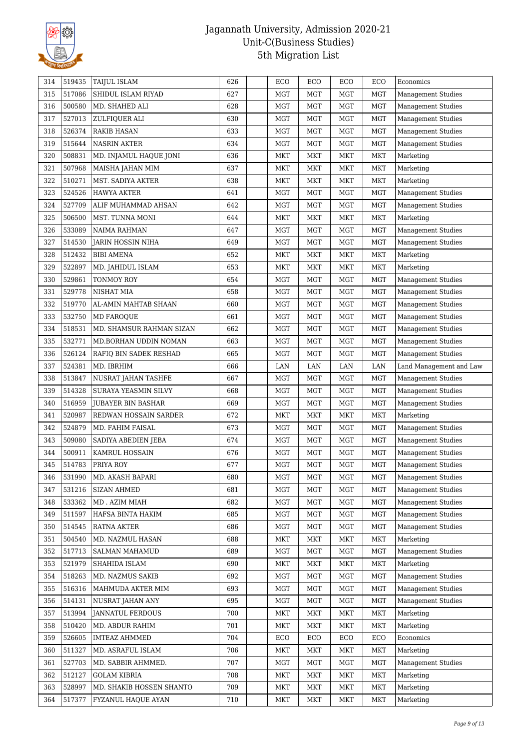

| 314 | 519435 | <b>TAIJUL ISLAM</b>       | 626 | ECO        | ECO        | ECO        | ECO        | Economics                 |
|-----|--------|---------------------------|-----|------------|------------|------------|------------|---------------------------|
| 315 | 517086 | SHIDUL ISLAM RIYAD        | 627 | <b>MGT</b> | MGT        | <b>MGT</b> | <b>MGT</b> | <b>Management Studies</b> |
| 316 | 500580 | MD. SHAHED ALI            | 628 | MGT        | <b>MGT</b> | <b>MGT</b> | <b>MGT</b> | <b>Management Studies</b> |
| 317 | 527013 | ZULFIQUER ALI             | 630 | <b>MGT</b> | <b>MGT</b> | <b>MGT</b> | <b>MGT</b> | <b>Management Studies</b> |
| 318 | 526374 | RAKIB HASAN               | 633 | <b>MGT</b> | <b>MGT</b> | <b>MGT</b> | <b>MGT</b> | <b>Management Studies</b> |
| 319 | 515644 | <b>NASRIN AKTER</b>       | 634 | <b>MGT</b> | MGT        | <b>MGT</b> | <b>MGT</b> | <b>Management Studies</b> |
| 320 | 508831 | MD. INJAMUL HAQUE JONI    | 636 | MKT        | <b>MKT</b> | <b>MKT</b> | <b>MKT</b> | Marketing                 |
| 321 | 507968 | MAISHA JAHAN MIM          | 637 | <b>MKT</b> | MKT        | MKT        | MKT        | Marketing                 |
| 322 | 510271 | MST. SADIYA AKTER         | 638 | <b>MKT</b> | <b>MKT</b> | <b>MKT</b> | <b>MKT</b> | Marketing                 |
| 323 | 524526 | HAWYA AKTER               | 641 | <b>MGT</b> | <b>MGT</b> | <b>MGT</b> | <b>MGT</b> | <b>Management Studies</b> |
| 324 | 527709 | ALIF MUHAMMAD AHSAN       | 642 | <b>MGT</b> | <b>MGT</b> | <b>MGT</b> | MGT        | <b>Management Studies</b> |
| 325 | 506500 | MST. TUNNA MONI           | 644 | <b>MKT</b> | MKT        | MKT        | MKT        | Marketing                 |
| 326 | 533089 | NAIMA RAHMAN              | 647 | <b>MGT</b> | <b>MGT</b> | <b>MGT</b> | <b>MGT</b> | <b>Management Studies</b> |
| 327 | 514530 | JARIN HOSSIN NIHA         | 649 | <b>MGT</b> | <b>MGT</b> | <b>MGT</b> | <b>MGT</b> | <b>Management Studies</b> |
| 328 | 512432 | <b>BIBI AMENA</b>         | 652 | <b>MKT</b> | MKT        | <b>MKT</b> | <b>MKT</b> | Marketing                 |
| 329 | 522897 | MD. JAHIDUL ISLAM         | 653 | MKT        | MKT        | <b>MKT</b> | <b>MKT</b> | Marketing                 |
| 330 | 529861 | TONMOY ROY                | 654 | <b>MGT</b> | <b>MGT</b> | <b>MGT</b> | <b>MGT</b> | <b>Management Studies</b> |
| 331 | 529778 | NISHAT MIA                | 658 | <b>MGT</b> | MGT        | <b>MGT</b> | <b>MGT</b> | <b>Management Studies</b> |
| 332 | 519770 | AL-AMIN MAHTAB SHAAN      | 660 | <b>MGT</b> | <b>MGT</b> | <b>MGT</b> | <b>MGT</b> | <b>Management Studies</b> |
| 333 | 532750 | MD FAROQUE                | 661 | <b>MGT</b> | <b>MGT</b> | <b>MGT</b> | <b>MGT</b> | <b>Management Studies</b> |
| 334 | 518531 | MD. SHAMSUR RAHMAN SIZAN  | 662 | <b>MGT</b> | <b>MGT</b> | <b>MGT</b> | <b>MGT</b> | <b>Management Studies</b> |
| 335 | 532771 | MD.BORHAN UDDIN NOMAN     | 663 | <b>MGT</b> | <b>MGT</b> | <b>MGT</b> | <b>MGT</b> | <b>Management Studies</b> |
| 336 | 526124 | RAFIQ BIN SADEK RESHAD    | 665 | <b>MGT</b> | MGT        | <b>MGT</b> | <b>MGT</b> | <b>Management Studies</b> |
| 337 | 524381 | MD. IBRHIM                | 666 | LAN        | LAN        | LAN        | $\rm LAN$  | Land Management and Law   |
| 338 | 513847 | NUSRAT JAHAN TASHFE       | 667 | <b>MGT</b> | <b>MGT</b> | <b>MGT</b> | <b>MGT</b> | <b>Management Studies</b> |
| 339 | 514328 | SURAYA YEASMIN SILVY      | 668 | <b>MGT</b> | MGT        | <b>MGT</b> | <b>MGT</b> | <b>Management Studies</b> |
| 340 | 516959 | <b>JUBAYER BIN BASHAR</b> | 669 | <b>MGT</b> | <b>MGT</b> | <b>MGT</b> | <b>MGT</b> | <b>Management Studies</b> |
| 341 | 520987 | REDWAN HOSSAIN SARDER     | 672 | <b>MKT</b> | <b>MKT</b> | <b>MKT</b> | MKT        | Marketing                 |
| 342 | 524879 | MD. FAHIM FAISAL          | 673 | MGT        | <b>MGT</b> | <b>MGT</b> | <b>MGT</b> | <b>Management Studies</b> |
| 343 | 509080 | SADIYA ABEDIEN JEBA       | 674 | <b>MGT</b> | <b>MGT</b> | <b>MGT</b> | MGT        | <b>Management Studies</b> |
| 344 | 500911 | KAMRUL HOSSAIN            | 676 | <b>MGT</b> | <b>MGT</b> | <b>MGT</b> | <b>MGT</b> | <b>Management Studies</b> |
| 345 | 514783 | PRIYA ROY                 | 677 | <b>MGT</b> | <b>MGT</b> | <b>MGT</b> | <b>MGT</b> | <b>Management Studies</b> |
| 346 | 531990 | MD. AKASH BAPARI          | 680 | MGT        | MGT        | <b>MGT</b> | <b>MGT</b> | Management Studies        |
| 347 | 531216 | <b>SIZAN AHMED</b>        | 681 | <b>MGT</b> | MGT        | <b>MGT</b> | <b>MGT</b> | <b>Management Studies</b> |
| 348 | 533362 | MD. AZIM MIAH             | 682 | <b>MGT</b> | <b>MGT</b> | <b>MGT</b> | <b>MGT</b> | <b>Management Studies</b> |
| 349 | 511597 | HAFSA BINTA HAKIM         | 685 | <b>MGT</b> | MGT        | <b>MGT</b> | MGT        | <b>Management Studies</b> |
| 350 | 514545 | <b>RATNA AKTER</b>        | 686 | <b>MGT</b> | MGT        | MGT        | <b>MGT</b> | <b>Management Studies</b> |
| 351 | 504540 | MD. NAZMUL HASAN          | 688 | MKT        | MKT        | <b>MKT</b> | <b>MKT</b> | Marketing                 |
| 352 | 517713 | <b>SALMAN MAHAMUD</b>     | 689 | <b>MGT</b> | <b>MGT</b> | <b>MGT</b> | <b>MGT</b> | Management Studies        |
| 353 | 521979 | SHAHIDA ISLAM             | 690 | <b>MKT</b> | MKT        | <b>MKT</b> | MKT        | Marketing                 |
| 354 | 518263 | MD. NAZMUS SAKIB          | 692 | <b>MGT</b> | <b>MGT</b> | <b>MGT</b> | <b>MGT</b> | <b>Management Studies</b> |
| 355 | 516316 | MAHMUDA AKTER MIM         | 693 | <b>MGT</b> | <b>MGT</b> | <b>MGT</b> | <b>MGT</b> | <b>Management Studies</b> |
| 356 | 514131 | NUSRAT JAHAN ANY          | 695 | <b>MGT</b> | <b>MGT</b> | MGT        | <b>MGT</b> | <b>Management Studies</b> |
| 357 | 513994 | <b>JANNATUL FERDOUS</b>   | 700 | <b>MKT</b> | MKT        | <b>MKT</b> | <b>MKT</b> | Marketing                 |
| 358 | 510420 | MD. ABDUR RAHIM           | 701 | MKT        | MKT        | MKT        | <b>MKT</b> | Marketing                 |
| 359 | 526605 | <b>IMTEAZ AHMMED</b>      | 704 | ECO        | ECO        | ECO        | ECO        | Economics                 |
| 360 | 511327 | MD. ASRAFUL ISLAM         | 706 | <b>MKT</b> | MKT        | <b>MKT</b> | MKT        | Marketing                 |
| 361 | 527703 | MD. SABBIR AHMMED.        | 707 | <b>MGT</b> | <b>MGT</b> | <b>MGT</b> | <b>MGT</b> | Management Studies        |
| 362 | 512127 | <b>GOLAM KIBRIA</b>       | 708 | MKT        | MKT        | MKT        | <b>MKT</b> | Marketing                 |
| 363 | 528997 | MD. SHAKIB HOSSEN SHANTO  | 709 | <b>MKT</b> | MKT        | <b>MKT</b> | <b>MKT</b> | Marketing                 |
| 364 | 517377 | FYZANUL HAQUE AYAN        | 710 | MKT        | MKT        | MKT        | MKT        | Marketing                 |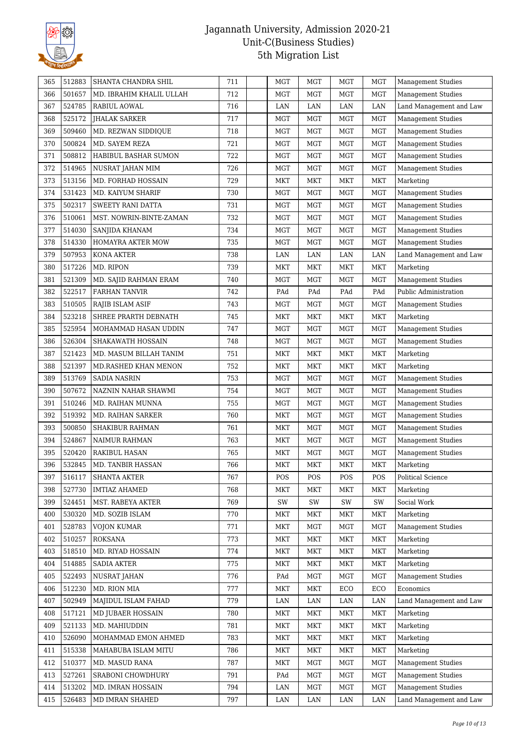

| 365 | 512883 | SHANTA CHANDRA SHIL      | 711 | <b>MGT</b> | <b>MGT</b> | <b>MGT</b> | <b>MGT</b> | <b>Management Studies</b> |
|-----|--------|--------------------------|-----|------------|------------|------------|------------|---------------------------|
| 366 | 501657 | MD. IBRAHIM KHALIL ULLAH | 712 | MGT        | MGT        | <b>MGT</b> | MGT        | <b>Management Studies</b> |
| 367 | 524785 | RABIUL AOWAL             | 716 | LAN        | LAN        | LAN        | LAN        | Land Management and Law   |
| 368 | 525172 | JHALAK SARKER            | 717 | <b>MGT</b> | <b>MGT</b> | <b>MGT</b> | <b>MGT</b> | Management Studies        |
| 369 | 509460 | MD. REZWAN SIDDIQUE      | 718 | <b>MGT</b> | <b>MGT</b> | <b>MGT</b> | MGT        | <b>Management Studies</b> |
| 370 | 500824 | MD. SAYEM REZA           | 721 | <b>MGT</b> | MGT        | <b>MGT</b> | <b>MGT</b> | <b>Management Studies</b> |
| 371 | 508812 | HABIBUL BASHAR SUMON     | 722 | <b>MGT</b> | <b>MGT</b> | <b>MGT</b> | MGT        | <b>Management Studies</b> |
| 372 | 514965 | NUSRAT JAHAN MIM         | 726 | <b>MGT</b> | <b>MGT</b> | <b>MGT</b> | <b>MGT</b> | <b>Management Studies</b> |
| 373 | 513156 | MD. FORHAD HOSSAIN       | 729 | MKT        | <b>MKT</b> | <b>MKT</b> | <b>MKT</b> | Marketing                 |
| 374 | 531423 | MD. KAIYUM SHARIF        | 730 | MGT        | <b>MGT</b> | <b>MGT</b> | <b>MGT</b> | <b>Management Studies</b> |
| 375 | 502317 | <b>SWEETY RANI DATTA</b> | 731 | MGT        | MGT        | <b>MGT</b> | MGT        | <b>Management Studies</b> |
| 376 | 510061 | MST. NOWRIN-BINTE-ZAMAN  | 732 | <b>MGT</b> | <b>MGT</b> | <b>MGT</b> | MGT        | <b>Management Studies</b> |
| 377 | 514030 | SANJIDA KHANAM           | 734 | <b>MGT</b> | <b>MGT</b> | MGT        | MGT        | <b>Management Studies</b> |
| 378 | 514330 | HOMAYRA AKTER MOW        | 735 | <b>MGT</b> | MGT        | <b>MGT</b> | <b>MGT</b> | Management Studies        |
| 379 | 507953 | KONA AKTER               | 738 | LAN        | LAN        | LAN        | LAN        | Land Management and Law   |
| 380 | 517226 | MD. RIPON                | 739 | <b>MKT</b> | <b>MKT</b> | <b>MKT</b> | <b>MKT</b> | Marketing                 |
| 381 | 521309 | MD. SAJID RAHMAN ERAM    | 740 | MGT        | MGT        | <b>MGT</b> | <b>MGT</b> | <b>Management Studies</b> |
| 382 | 522517 | <b>FARHAN TANVIR</b>     | 742 | PAd        | PAd        | PAd        | PAd        | Public Administration     |
| 383 | 510505 | RAJIB ISLAM ASIF         | 743 | <b>MGT</b> | MGT        | MGT        | <b>MGT</b> | Management Studies        |
| 384 | 523218 | SHREE PRARTH DEBNATH     | 745 | MKT        | <b>MKT</b> | <b>MKT</b> | <b>MKT</b> | Marketing                 |
| 385 | 525954 | MOHAMMAD HASAN UDDIN     | 747 | <b>MGT</b> | <b>MGT</b> | <b>MGT</b> | <b>MGT</b> | <b>Management Studies</b> |
| 386 | 526304 | SHAKAWATH HOSSAIN        | 748 | <b>MGT</b> | MGT        | <b>MGT</b> | <b>MGT</b> | <b>Management Studies</b> |
| 387 | 521423 | MD. MASUM BILLAH TANIM   | 751 | MKT        | <b>MKT</b> | <b>MKT</b> | <b>MKT</b> | Marketing                 |
| 388 | 521397 | MD.RASHED KHAN MENON     | 752 | <b>MKT</b> | <b>MKT</b> | <b>MKT</b> | <b>MKT</b> | Marketing                 |
| 389 | 513769 | <b>SADIA NASRIN</b>      | 753 | <b>MGT</b> | MGT        | <b>MGT</b> | MGT        | <b>Management Studies</b> |
| 390 | 507672 | NAZNIN NAHAR SHAWMI      | 754 | <b>MGT</b> | MGT        | <b>MGT</b> | MGT        | <b>Management Studies</b> |
| 391 | 510246 | MD. RAIHAN MUNNA         | 755 | <b>MGT</b> | <b>MGT</b> | <b>MGT</b> | MGT        | <b>Management Studies</b> |
| 392 | 519392 | MD. RAIHAN SARKER        | 760 | MKT        | <b>MGT</b> | <b>MGT</b> | <b>MGT</b> | <b>Management Studies</b> |
| 393 | 500850 | <b>SHAKIBUR RAHMAN</b>   | 761 | MKT        | <b>MGT</b> | <b>MGT</b> | <b>MGT</b> | <b>Management Studies</b> |
| 394 | 524867 | NAIMUR RAHMAN            | 763 | MKT        | MGT        | <b>MGT</b> | <b>MGT</b> | <b>Management Studies</b> |
| 395 | 520420 | RAKIBUL HASAN            | 765 | <b>MKT</b> | MGT        | <b>MGT</b> | MGT        | <b>Management Studies</b> |
| 396 | 532845 | MD. TANBIR HASSAN        | 766 | <b>MKT</b> | <b>MKT</b> | <b>MKT</b> | <b>MKT</b> | Marketing                 |
| 397 | 516117 | SHANTA AKTER             | 767 | POS        | POS        | POS        | POS        | ${\rm Political}$ Science |
| 398 | 527730 | <b>IMTIAZ AHAMED</b>     | 768 | MKT        | <b>MKT</b> | <b>MKT</b> | MKT        | Marketing                 |
| 399 | 524451 | MST. RABEYA AKTER        | 769 | SW         | SW         | SW         | SW         | Social Work               |
| 400 | 530320 | MD. SOZIB ISLAM          | 770 | MKT        | MKT        | <b>MKT</b> | <b>MKT</b> | Marketing                 |
| 401 | 528783 | <b>VOJON KUMAR</b>       | 771 | <b>MKT</b> | <b>MGT</b> | <b>MGT</b> | MGT        | <b>Management Studies</b> |
| 402 | 510257 | ROKSANA                  | 773 | <b>MKT</b> | MKT        | MKT        | <b>MKT</b> | Marketing                 |
| 403 | 518510 | MD. RIYAD HOSSAIN        | 774 | <b>MKT</b> | <b>MKT</b> | <b>MKT</b> | <b>MKT</b> | Marketing                 |
| 404 | 514885 | <b>SADIA AKTER</b>       | 775 | <b>MKT</b> | MKT        | <b>MKT</b> | <b>MKT</b> | Marketing                 |
| 405 | 522493 | NUSRAT JAHAN             | 776 | PAd        | <b>MGT</b> | <b>MGT</b> | MGT        | <b>Management Studies</b> |
| 406 | 512230 | MD. RION MIA             | 777 | <b>MKT</b> | MKT        | ECO        | ECO        | Economics                 |
| 407 | 502949 | MAJIDUL ISLAM FAHAD      | 779 | LAN        | LAN        | LAN        | LAN        | Land Management and Law   |
| 408 | 517121 | MD JUBAER HOSSAIN        | 780 | <b>MKT</b> | MKT        | MKT        | <b>MKT</b> | Marketing                 |
| 409 | 521133 | MD. MAHIUDDIN            | 781 | MKT        | <b>MKT</b> | <b>MKT</b> | <b>MKT</b> | Marketing                 |
| 410 | 526090 | MOHAMMAD EMON AHMED      | 783 | <b>MKT</b> | MKT        | <b>MKT</b> | <b>MKT</b> | Marketing                 |
| 411 | 515338 | MAHABUBA ISLAM MITU      | 786 | <b>MKT</b> | MKT        | <b>MKT</b> | <b>MKT</b> | Marketing                 |
| 412 | 510377 | MD. MASUD RANA           | 787 | <b>MKT</b> | <b>MGT</b> | MGT        | MGT        | <b>Management Studies</b> |
| 413 | 527261 | SRABONI CHOWDHURY        | 791 | PAd        | <b>MGT</b> | <b>MGT</b> | <b>MGT</b> | <b>Management Studies</b> |
| 414 | 513202 | MD. IMRAN HOSSAIN        | 794 | LAN        | <b>MGT</b> | <b>MGT</b> | MGT        | <b>Management Studies</b> |
| 415 | 526483 | MD IMRAN SHAHED          | 797 | LAN        | LAN        | LAN        | LAN        | Land Management and Law   |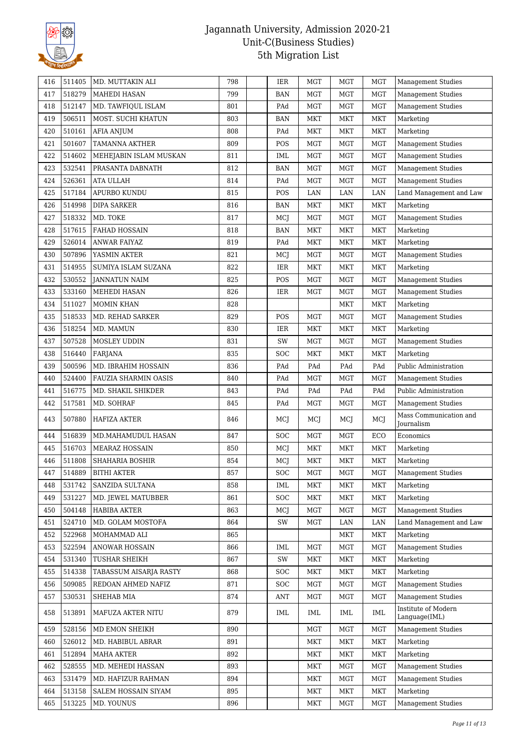

| 416 | 511405 | MD. MUTTAKIN ALI       | 798 | IER        | <b>MGT</b>   | <b>MGT</b> | <b>MGT</b> | <b>Management Studies</b>            |
|-----|--------|------------------------|-----|------------|--------------|------------|------------|--------------------------------------|
| 417 | 518279 | MAHEDI HASAN           | 799 | <b>BAN</b> | MGT          | <b>MGT</b> | <b>MGT</b> | <b>Management Studies</b>            |
| 418 | 512147 | MD. TAWFIQUL ISLAM     | 801 | PAd        | <b>MGT</b>   | MGT        | <b>MGT</b> | <b>Management Studies</b>            |
| 419 | 506511 | MOST. SUCHI KHATUN     | 803 | BAN        | <b>MKT</b>   | <b>MKT</b> | <b>MKT</b> | Marketing                            |
| 420 | 510161 | AFIA ANJUM             | 808 | PAd        | <b>MKT</b>   | <b>MKT</b> | <b>MKT</b> | Marketing                            |
| 421 | 501607 | <b>TAMANNA AKTHER</b>  | 809 | POS        | MGT          | MGT        | <b>MGT</b> | <b>Management Studies</b>            |
| 422 | 514602 | MEHEJABIN ISLAM MUSKAN | 811 | <b>IML</b> | MGT          | <b>MGT</b> | <b>MGT</b> | <b>Management Studies</b>            |
| 423 | 532541 | PRASANTA DABNATH       | 812 | <b>BAN</b> | <b>MGT</b>   | MGT        | MGT        | <b>Management Studies</b>            |
| 424 | 526361 | ATA ULLAH              | 814 | PAd        | MGT          | <b>MGT</b> | <b>MGT</b> | <b>Management Studies</b>            |
| 425 | 517184 | APURBO KUNDU           | 815 | POS        | LAN          | LAN        | LAN        | Land Management and Law              |
| 426 | 514998 | <b>DIPA SARKER</b>     | 816 | <b>BAN</b> | <b>MKT</b>   | <b>MKT</b> | <b>MKT</b> | Marketing                            |
| 427 | 518332 | MD. TOKE               | 817 | MCJ        | <b>MGT</b>   | <b>MGT</b> | MGT        | <b>Management Studies</b>            |
| 428 | 517615 | <b>FAHAD HOSSAIN</b>   | 818 | <b>BAN</b> | <b>MKT</b>   | <b>MKT</b> | MKT        | Marketing                            |
| 429 | 526014 | <b>ANWAR FAIYAZ</b>    | 819 | PAd        | <b>MKT</b>   | MKT        | MKT        | Marketing                            |
| 430 | 507896 | YASMIN AKTER           | 821 | MCJ        | <b>MGT</b>   | <b>MGT</b> | <b>MGT</b> | <b>Management Studies</b>            |
| 431 | 514955 | SUMIYA ISLAM SUZANA    | 822 | IER        | <b>MKT</b>   | <b>MKT</b> | <b>MKT</b> | Marketing                            |
| 432 | 530552 | JANNATUN NAIM          | 825 | POS        | MGT          | <b>MGT</b> | MGT        | <b>Management Studies</b>            |
| 433 | 533160 | MEHEDI HASAN           | 826 | IER        | MGT          | <b>MGT</b> | <b>MGT</b> | <b>Management Studies</b>            |
| 434 | 511027 | <b>MOMIN KHAN</b>      | 828 |            |              | MKT        | MKT        | Marketing                            |
| 435 | 518533 | MD. REHAD SARKER       | 829 | POS        | <b>MGT</b>   | <b>MGT</b> | <b>MGT</b> | <b>Management Studies</b>            |
| 436 | 518254 | MD. MAMUN              | 830 | <b>IER</b> | <b>MKT</b>   | <b>MKT</b> | <b>MKT</b> | Marketing                            |
| 437 | 507528 | MOSLEY UDDIN           | 831 | SW         | MGT          | <b>MGT</b> | <b>MGT</b> | <b>Management Studies</b>            |
| 438 | 516440 | FARJANA                | 835 | <b>SOC</b> | <b>MKT</b>   | <b>MKT</b> | <b>MKT</b> | Marketing                            |
| 439 | 500596 | MD. IBRAHIM HOSSAIN    | 836 | PAd        | PAd          | PAd        | PAd        | Public Administration                |
| 440 | 524400 | FAUZIA SHARMIN OASIS   | 840 | PAd        | <b>MGT</b>   | <b>MGT</b> | <b>MGT</b> | Management Studies                   |
| 441 | 516775 | MD. SHAKIL SHIKDER     | 843 | PAd        | PAd          | PAd        | PAd        | Public Administration                |
| 442 | 517581 | MD. SOHRAF             | 845 | PAd        | <b>MGT</b>   | <b>MGT</b> | MGT        | <b>Management Studies</b>            |
| 443 | 507880 | HAFIZA AKTER           | 846 | MCJ        | MCJ          | MCJ        | MCJ        | Mass Communication and<br>Journalism |
| 444 | 516839 | MD.MAHAMUDUL HASAN     | 847 | <b>SOC</b> | MGT          | <b>MGT</b> | ECO        | Economics                            |
| 445 | 516703 | <b>MEARAZ HOSSAIN</b>  | 850 | MCJ        | MKT          | <b>MKT</b> | MKT        | Marketing                            |
| 446 | 511808 | SHAHARIA BOSHIR        | 854 | MCJ        | <b>MKT</b>   | <b>MKT</b> | <b>MKT</b> | Marketing                            |
| 447 | 514889 | <b>BITHI AKTER</b>     | 857 | SOC        | $_{\rm MGT}$ | MGT        | MGT        | <b>Management Studies</b>            |
| 448 | 531742 | SANZIDA SULTANA        | 858 | IML        | MKT          | MKT        | MKT        | Marketing                            |
| 449 | 531227 | MD. JEWEL MATUBBER     | 861 | SOC        | <b>MKT</b>   | MKT        | <b>MKT</b> | Marketing                            |
| 450 | 504148 | <b>HABIBA AKTER</b>    | 863 | MCJ        | <b>MGT</b>   | <b>MGT</b> | MGT        | <b>Management Studies</b>            |
| 451 | 524710 | MD. GOLAM MOSTOFA      | 864 | SW         | <b>MGT</b>   | LAN        | LAN        | Land Management and Law              |
| 452 | 522968 | MOHAMMAD ALI           | 865 |            |              | <b>MKT</b> | <b>MKT</b> | Marketing                            |
| 453 | 522594 | ANOWAR HOSSAIN         | 866 | IML        | <b>MGT</b>   | <b>MGT</b> | MGT        | <b>Management Studies</b>            |
| 454 | 531340 | TUSHAR SHEIKH          | 867 | SW         | <b>MKT</b>   | MKT        | <b>MKT</b> | Marketing                            |
| 455 | 514338 | TABASSUM AISARIA RASTY | 868 | SOC        | <b>MKT</b>   | <b>MKT</b> | <b>MKT</b> | Marketing                            |
| 456 | 509085 | REDOAN AHMED NAFIZ     | 871 | <b>SOC</b> | MGT          | <b>MGT</b> | <b>MGT</b> | <b>Management Studies</b>            |
| 457 | 530531 | SHEHAB MIA             | 874 | <b>ANT</b> | <b>MGT</b>   | <b>MGT</b> | MGT        | <b>Management Studies</b>            |
| 458 | 513891 | MAFUZA AKTER NITU      | 879 | IML        | IML          | IML        | IML        | Institute of Modern<br>Language(IML) |
| 459 | 528156 | MD EMON SHEIKH         | 890 |            | <b>MGT</b>   | <b>MGT</b> | <b>MGT</b> | <b>Management Studies</b>            |
| 460 | 526012 | MD. HABIBUL ABRAR      | 891 |            | <b>MKT</b>   | <b>MKT</b> | <b>MKT</b> | Marketing                            |
| 461 | 512894 | <b>MAHA AKTER</b>      | 892 |            | <b>MKT</b>   | <b>MKT</b> | <b>MKT</b> | Marketing                            |
| 462 | 528555 | MD. MEHEDI HASSAN      | 893 |            | <b>MKT</b>   | MGT        | <b>MGT</b> | <b>Management Studies</b>            |
| 463 | 531479 | MD. HAFIZUR RAHMAN     | 894 |            | MKT          | <b>MGT</b> | <b>MGT</b> | <b>Management Studies</b>            |
| 464 | 513158 | SALEM HOSSAIN SIYAM    | 895 |            | <b>MKT</b>   | <b>MKT</b> | <b>MKT</b> | Marketing                            |
| 465 | 513225 | MD. YOUNUS             | 896 |            | <b>MKT</b>   | <b>MGT</b> | <b>MGT</b> | Management Studies                   |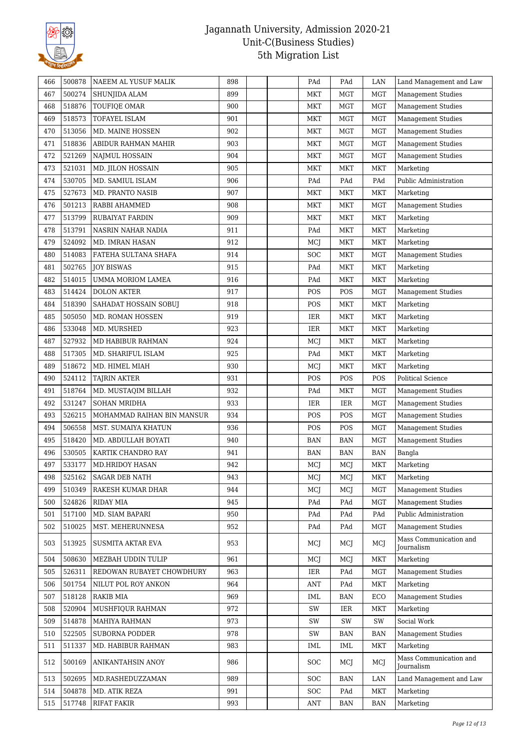

| 466 | 500878 | NAEEM AL YUSUF MALIK       | 898 | PAd        | PAd        | LAN                         | Land Management and Law              |
|-----|--------|----------------------------|-----|------------|------------|-----------------------------|--------------------------------------|
| 467 | 500274 | SHUNJIDA ALAM              | 899 | <b>MKT</b> | <b>MGT</b> | <b>MGT</b>                  | <b>Management Studies</b>            |
| 468 | 518876 | TOUFIQE OMAR               | 900 | <b>MKT</b> | <b>MGT</b> | <b>MGT</b>                  | <b>Management Studies</b>            |
| 469 | 518573 | TOFAYEL ISLAM              | 901 | <b>MKT</b> | <b>MGT</b> | <b>MGT</b>                  | <b>Management Studies</b>            |
| 470 | 513056 | MD. MAINE HOSSEN           | 902 | <b>MKT</b> | <b>MGT</b> | <b>MGT</b>                  | <b>Management Studies</b>            |
| 471 | 518836 | ABIDUR RAHMAN MAHIR        | 903 | MKT        | MGT        | <b>MGT</b>                  | Management Studies                   |
| 472 | 521269 | NAJMUL HOSSAIN             | 904 | <b>MKT</b> | <b>MGT</b> | <b>MGT</b>                  | <b>Management Studies</b>            |
| 473 | 521031 | MD. JILON HOSSAIN          | 905 | <b>MKT</b> | <b>MKT</b> | <b>MKT</b>                  | Marketing                            |
| 474 | 530705 | MD. SAMIUL ISLAM           | 906 | PAd        | PAd        | PAd                         | Public Administration                |
| 475 | 527673 | <b>MD. PRANTO NASIB</b>    | 907 | <b>MKT</b> | <b>MKT</b> | <b>MKT</b>                  | Marketing                            |
| 476 | 501213 | RABBI AHAMMED              | 908 | <b>MKT</b> | <b>MKT</b> | <b>MGT</b>                  | <b>Management Studies</b>            |
| 477 | 513799 | RUBAIYAT FARDIN            | 909 | <b>MKT</b> | <b>MKT</b> | MKT                         | Marketing                            |
| 478 | 513791 | NASRIN NAHAR NADIA         | 911 | PAd        | <b>MKT</b> | <b>MKT</b>                  | Marketing                            |
| 479 | 524092 | MD. IMRAN HASAN            | 912 | MCJ        | <b>MKT</b> | <b>MKT</b>                  | Marketing                            |
| 480 | 514083 | FATEHA SULTANA SHAFA       | 914 | SOC        | <b>MKT</b> | <b>MGT</b>                  | <b>Management Studies</b>            |
| 481 | 502765 | <b>JOY BISWAS</b>          | 915 | PAd        | <b>MKT</b> | <b>MKT</b>                  | Marketing                            |
| 482 | 514015 | <b>UMMA MORIOM LAMEA</b>   | 916 | PAd        | <b>MKT</b> | <b>MKT</b>                  | Marketing                            |
| 483 | 514424 | <b>DOLON AKTER</b>         | 917 | POS        | POS        | <b>MGT</b>                  | <b>Management Studies</b>            |
| 484 | 518390 | SAHADAT HOSSAIN SOBUJ      | 918 | POS        | MKT        | MKT                         | Marketing                            |
| 485 | 505050 | MD. ROMAN HOSSEN           | 919 | IER        | <b>MKT</b> | <b>MKT</b>                  | Marketing                            |
| 486 | 533048 | MD. MURSHED                | 923 | IER        | <b>MKT</b> | <b>MKT</b>                  | Marketing                            |
| 487 | 527932 | MD HABIBUR RAHMAN          | 924 | MCJ        | <b>MKT</b> | <b>MKT</b>                  | Marketing                            |
| 488 | 517305 | MD. SHARIFUL ISLAM         | 925 | PAd        | <b>MKT</b> | <b>MKT</b>                  | Marketing                            |
| 489 | 518672 | MD. HIMEL MIAH             | 930 | MCJ        | <b>MKT</b> | <b>MKT</b>                  | Marketing                            |
| 490 | 524112 | <b>TAJRIN AKTER</b>        | 931 | POS        | POS        | POS                         | Political Science                    |
| 491 | 518764 | MD. MUSTAQIM BILLAH        | 932 | PAd        | <b>MKT</b> | <b>MGT</b>                  | <b>Management Studies</b>            |
| 492 | 531247 | <b>SOHAN MRIDHA</b>        | 933 | IER        | IER        | <b>MGT</b>                  | <b>Management Studies</b>            |
| 493 | 526215 | MOHAMMAD RAIHAN BIN MANSUR | 934 | POS        | POS        | <b>MGT</b>                  | <b>Management Studies</b>            |
| 494 | 506558 | MST. SUMAIYA KHATUN        | 936 | POS        | POS        | MGT                         | <b>Management Studies</b>            |
| 495 | 518420 | MD. ABDULLAH BOYATI        | 940 | <b>BAN</b> | <b>BAN</b> | <b>MGT</b>                  | <b>Management Studies</b>            |
| 496 | 530505 | KARTIK CHANDRO RAY         | 941 | <b>BAN</b> | <b>BAN</b> | $\ensuremath{\mathsf{BAN}}$ | Bangla                               |
| 497 | 533177 | MD.HRIDOY HASAN            | 942 | MCJ        | MCJ        | MKT                         | Marketing                            |
| 498 | 525162 | <b>SAGAR DEB NATH</b>      | 943 | MCJ        | MCJ        | MKT                         | Marketing                            |
| 499 | 510349 | RAKESH KUMAR DHAR          | 944 | MCJ        | MCJ        | <b>MGT</b>                  | <b>Management Studies</b>            |
| 500 | 524826 | <b>RIDAY MIA</b>           | 945 | PAd        | PAd        | <b>MGT</b>                  | <b>Management Studies</b>            |
| 501 | 517100 | MD. SIAM BAPARI            | 950 | PAd        | PAd        | PAd                         | Public Administration                |
| 502 | 510025 | MST. MEHERUNNESA           | 952 | PAd        | PAd        | <b>MGT</b>                  | <b>Management Studies</b>            |
| 503 | 513925 | <b>SUSMITA AKTAR EVA</b>   | 953 | MCJ        | MCJ        | MCJ                         | Mass Communication and<br>Journalism |
| 504 | 508630 | MEZBAH UDDIN TULIP         | 961 | MCJ        | MCJ        | <b>MKT</b>                  | Marketing                            |
| 505 | 526311 | REDOWAN RUBAYET CHOWDHURY  | 963 | IER        | PAd        | <b>MGT</b>                  | <b>Management Studies</b>            |
| 506 | 501754 | NILUT POL ROY ANKON        | 964 | <b>ANT</b> | PAd        | <b>MKT</b>                  | Marketing                            |
| 507 | 518128 | <b>RAKIB MIA</b>           | 969 | IML        | <b>BAN</b> | ECO                         | <b>Management Studies</b>            |
| 508 | 520904 | MUSHFIQUR RAHMAN           | 972 | SW         | IER        | MKT                         | Marketing                            |
| 509 | 514878 | <b>MAHIYA RAHMAN</b>       | 973 | SW         | SW         | SW                          | Social Work                          |
| 510 | 522505 | <b>SUBORNA PODDER</b>      | 978 | SW         | <b>BAN</b> | <b>BAN</b>                  | <b>Management Studies</b>            |
| 511 | 511337 | MD. HABIBUR RAHMAN         | 983 | IML        | <b>IML</b> | <b>MKT</b>                  | Marketing                            |
| 512 | 500169 | ANIKANTAHSIN ANOY          | 986 | SOC        | MCJ        | MCI                         | Mass Communication and<br>Journalism |
| 513 | 502695 | MD.RASHEDUZZAMAN           | 989 | SOC        | BAN        | LAN                         | Land Management and Law              |
| 514 | 504878 | MD. ATIK REZA              | 991 | SOC        | PAd        | <b>MKT</b>                  | Marketing                            |
| 515 | 517748 | <b>RIFAT FAKIR</b>         | 993 | <b>ANT</b> | <b>BAN</b> | <b>BAN</b>                  | Marketing                            |